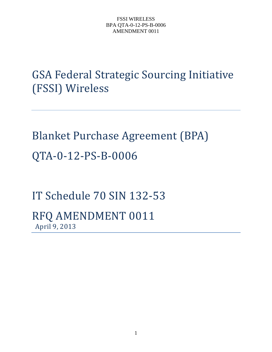GSA Federal Strategic Sourcing Initiative (FSSI) Wireless

Blanket Purchase Agreement (BPA) QTA-0-12-PS-B-0006

IT Schedule 70 SIN 132-53

RFQ AMENDMENT 0011 April 9, 2013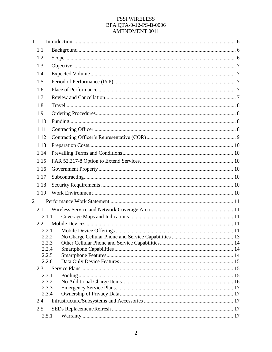| $\mathbf{1}$   |                |       |  |
|----------------|----------------|-------|--|
|                | 1.1            |       |  |
|                | 1.2            |       |  |
|                | 1.3            |       |  |
|                | 1.4            |       |  |
|                | 1.5            |       |  |
|                | 1.6            |       |  |
|                | 1.7            |       |  |
|                | 1.8            |       |  |
|                | 1.9            |       |  |
|                | 1.10           |       |  |
|                | 1.11           |       |  |
|                | 1.12           |       |  |
|                | 1.13           |       |  |
|                | 1.14           |       |  |
|                | 1.15           |       |  |
|                | 1.16           |       |  |
|                | 1.17           |       |  |
|                | 1.18           |       |  |
|                | 1.19           |       |  |
| $\overline{2}$ |                |       |  |
|                | 2.1            |       |  |
|                | 2.1.1          |       |  |
|                | 2.2            |       |  |
|                | 2.2.1          |       |  |
|                |                | 2.2.2 |  |
|                | 2.2.3<br>2.2.4 |       |  |
|                | 2.2.5          |       |  |
|                | 2.2.6          |       |  |
|                | 2.3            |       |  |
|                | 2.3.1          |       |  |
|                | 2.3.2          |       |  |
|                | 2.3.3<br>2.3.4 |       |  |
|                | 2.4            |       |  |
|                | 2.5            |       |  |
|                | 2.5.1          |       |  |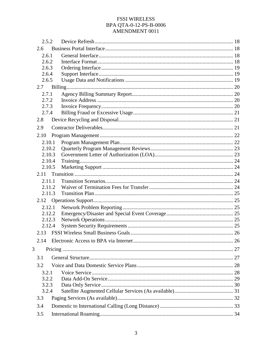| 2.5.2  |  |
|--------|--|
| 2.6    |  |
| 2.6.1  |  |
| 2.6.2  |  |
| 2.6.3  |  |
| 2.6.4  |  |
| 2.6.5  |  |
| 2.7    |  |
| 2.7.1  |  |
| 2.7.2  |  |
| 2.7.3  |  |
| 2.7.4  |  |
| 2.8    |  |
| 2.9    |  |
| 2.10   |  |
| 2.10.1 |  |
| 2.10.2 |  |
| 2.10.3 |  |
| 2.10.4 |  |
| 2.10.5 |  |
| 2.11   |  |
| 2.11.1 |  |
| 2.11.2 |  |
| 2.11.3 |  |
|        |  |
| 2.12.1 |  |
| 2.12.2 |  |
| 2.12.3 |  |
| 2.12.4 |  |
|        |  |
| 2.14   |  |
| 3      |  |
| 3.1    |  |
| 3.2    |  |
| 3.2.1  |  |
| 3.2.2  |  |
| 3.2.3  |  |
| 3.2.4  |  |
| 3.3    |  |
| 3.4    |  |
| 3.5    |  |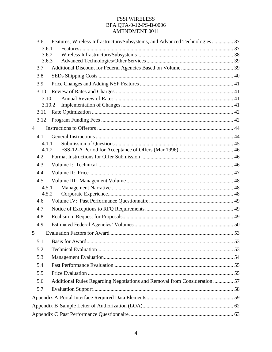|   | 3.6    | Features, Wireless Infrastructure/Subsystems, and Advanced Technologies  37 |  |
|---|--------|-----------------------------------------------------------------------------|--|
|   | 3.6.1  |                                                                             |  |
|   | 3.6.2  |                                                                             |  |
|   | 3.6.3  |                                                                             |  |
|   | 3.7    |                                                                             |  |
|   | 3.8    |                                                                             |  |
|   | 3.9    |                                                                             |  |
|   | 3.10   |                                                                             |  |
|   | 3.10.1 |                                                                             |  |
|   | 3.10.2 |                                                                             |  |
|   | 3.11   |                                                                             |  |
|   | 3.12   |                                                                             |  |
| 4 |        |                                                                             |  |
|   | 4.1    |                                                                             |  |
|   | 4.1.1  |                                                                             |  |
|   | 4.1.2  |                                                                             |  |
|   | 4.2    |                                                                             |  |
|   | 4.3    |                                                                             |  |
|   | 4.4    |                                                                             |  |
|   | 4.5    |                                                                             |  |
|   | 4.5.1  |                                                                             |  |
|   | 4.5.2  |                                                                             |  |
|   | 4.6    |                                                                             |  |
|   | 4.7    |                                                                             |  |
|   | 4.8    |                                                                             |  |
|   | 4.9    |                                                                             |  |
| 5 |        |                                                                             |  |
|   | 5.1    |                                                                             |  |
|   | 5.2    |                                                                             |  |
|   | 5.3    |                                                                             |  |
|   | 5.4    |                                                                             |  |
|   | 5.5    |                                                                             |  |
|   | 5.6    | Additional Rules Regarding Negotiations and Removal from Consideration  57  |  |
|   | 5.7    |                                                                             |  |
|   |        |                                                                             |  |
|   |        |                                                                             |  |
|   |        |                                                                             |  |
|   |        |                                                                             |  |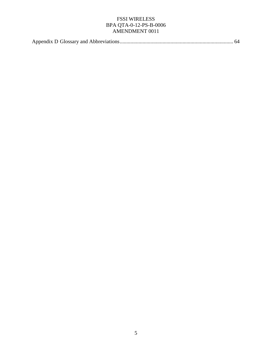|--|--|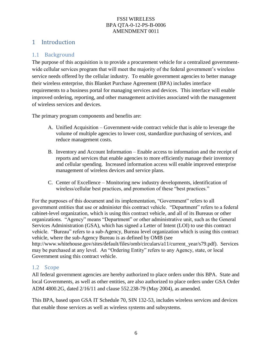# 1 Introduction

# 1.1 Background

The purpose of this acquisition is to provide a procurement vehicle for a centralized governmentwide cellular services program that will meet the majority of the federal government's wireless service needs offered by the cellular industry. To enable government agencies to better manage their wireless enterprise, this Blanket Purchase Agreement (BPA) includes interface requirements to a business portal for managing services and devices. This interface will enable improved ordering, reporting, and other management activities associated with the management of wireless services and devices.

The primary program components and benefits are:

- A. Unified Acquisition Government-wide contract vehicle that is able to leverage the volume of multiple agencies to lower cost, standardize purchasing of services, and reduce management costs.
- B. Inventory and Account Information Enable access to information and the receipt of reports and services that enable agencies to more efficiently manage their inventory and cellular spending. Increased information access will enable improved enterprise management of wireless devices and service plans.
- C. Center of Excellence Monitoring new industry developments, identification of wireless/cellular best practices, and promotion of these "best practices."

For the purposes of this document and its implementation, "Government" refers to all government entities that use or administer this contract vehicle. "Department" refers to a federal cabinet-level organization, which is using this contract vehicle, and all of its Bureaus or other organizations. "Agency" means "Department" or other administrative unit, such as the General Services Administration (GSA), which has signed a Letter of Intent (LOI) to use this contract vehicle. "Bureau" refers to a sub-Agency, Bureau level organization which is using this contract vehicle, where the sub-Agency Bureau is as defined by OMB (see http://www.whitehouse.gov/sites/default/files/omb/circulars/a11/current\_year/s79.pdf). Services may be purchased at any level. An "Ordering Entity" refers to any Agency, state, or local Government using this contract vehicle.

# 1.2 Scope

All federal government agencies are hereby authorized to place orders under this BPA. State and local Governments, as well as other entities, are also authorized to place orders under GSA Order ADM 4800.2G, dated 2/16/11 and clause 552.238-79 (May 2004), as amended.

This BPA, based upon GSA IT Schedule 70, SIN 132-53, includes wireless services and devices that enable those services as well as wireless systems and subsystems.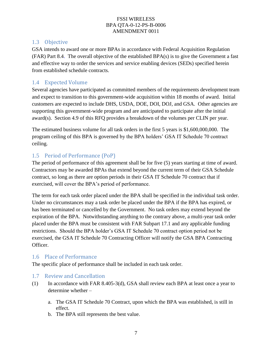### 1.3 Objective

GSA intends to award one or more BPAs in accordance with Federal Acquisition Regulation (FAR) Part 8.4. The overall objective of the established BPA(s) is to give the Government a fast and effective way to order the services and service enabling devices (SEDs) specified herein from established schedule contracts.

### 1.4 Expected Volume

Several agencies have participated as committed members of the requirements development team and expect to transition to this government-wide acquisition within 18 months of award. Initial customers are expected to include DHS, USDA, DOE, DOI, DOJ, and GSA. Other agencies are supporting this government-wide program and are anticipated to participate after the initial award(s). Section 4.9 of this RFQ provides a breakdown of the volumes per CLIN per year.

The estimated business volume for all task orders in the first 5 years is \$1,600,000,000. The program ceiling of this BPA is governed by the BPA holders' GSA IT Schedule 70 contract ceiling.

# 1.5 Period of Performance (PoP)

The period of performance of this agreement shall be for five (5) years starting at time of award. Contractors may be awarded BPAs that extend beyond the current term of their GSA Schedule contract, so long as there are option periods in their GSA IT Schedule 70 contract that if exercised, will cover the BPA's period of performance.

The term for each task order placed under the BPA shall be specified in the individual task order. Under no circumstances may a task order be placed under the BPA if the BPA has expired, or has been terminated or cancelled by the Government. No task orders may extend beyond the expiration of the BPA. Notwithstanding anything to the contrary above, a multi-year task order placed under the BPA must be consistent with FAR Subpart 17.1 and any applicable funding restrictions. Should the BPA holder's GSA IT Schedule 70 contract option period not be exercised, the GSA IT Schedule 70 Contracting Officer will notify the GSA BPA Contracting Officer.

#### 1.6 Place of Performance

The specific place of performance shall be included in each task order.

- 1.7 Review and Cancellation
- (1) In accordance with FAR 8.405-3(d), GSA shall review each BPA at least once a year to determine whether –
	- a. The GSA IT Schedule 70 Contract, upon which the BPA was established, is still in effect.
	- b. The BPA still represents the best value.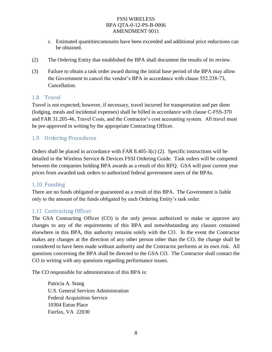- c. Estimated quantities/amounts have been exceeded and additional price reductions can be obtained.
- (2) The Ordering Entity that established the BPA shall document the results of its review.
- (3) Failure to obtain a task order award during the initial base period of the BPA may allow the Government to cancel the vendor's BPA in accordance with clause 552.238-73, Cancellation.

#### 1.8 Travel

Travel is not expected; however, if necessary, travel incurred for transportation and per diem (lodging, meals and incidental expenses) shall be billed in accordance with clause C-FSS-370 and FAR 31.205-46, Travel Costs, and the Contractor's cost accounting system. All travel must be pre-approved in writing by the appropriate Contracting Officer.

### 1.9 Ordering Procedures

Orders shall be placed in accordance with FAR 8.405-3(c) (2). Specific instructions will be detailed in the Wireless Service & Devices FSSI Ordering Guide. Task orders will be competed between the companies holding BPA awards as a result of this RFQ. GSA will post current year prices from awarded task orders to authorized federal government users of the BPAs.

### 1.10 Funding

There are no funds obligated or guaranteed as a result of this BPA. The Government is liable only to the amount of the funds obligated by each Ordering Entity's task order.

### 1.11 Contracting Officer

The GSA Contracting Officer (CO) is the only person authorized to make or approve any changes to any of the requirements of this BPA and notwithstanding any clauses contained elsewhere in this BPA, this authority remains solely with the CO. In the event the Contractor makes any changes at the direction of any other person other than the CO, the change shall be considered to have been made without authority and the Contractor performs at its own risk. All questions concerning the BPA shall be directed to the GSA CO. The Contractor shall contact the CO in writing with any questions regarding performance issues.

The CO responsible for administration of this BPA is:

Patricia A. Stang U.S. General Services Administration Federal Acquisition Service 10304 Eaton Place Fairfax, VA 22030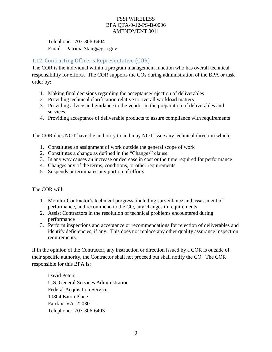Telephone: 703-306-6404 Email: Patricia.Stang@gsa.gov

# 1.12 Contracting Officer's Representative (COR)

The COR is the individual within a program management function who has overall technical responsibility for efforts. The COR supports the COs during administration of the BPA or task order by:

- 1. Making final decisions regarding the acceptance/rejection of deliverables
- 2. Providing technical clarification relative to overall workload matters
- 3. Providing advice and guidance to the vendor in the preparation of deliverables and services
- 4. Providing acceptance of deliverable products to assure compliance with requirements

The COR does NOT have the authority to and may NOT issue any technical direction which:

- 1. Constitutes an assignment of work outside the general scope of work
- 2. Constitutes a change as defined in the "Changes" clause
- 3. In any way causes an increase or decrease in cost or the time required for performance
- 4. Changes any of the terms, conditions, or other requirements
- 5. Suspends or terminates any portion of efforts

The COR will:

- 1. Monitor Contractor's technical progress, including surveillance and assessment of performance, and recommend to the CO, any changes in requirements
- 2. Assist Contractors in the resolution of technical problems encountered during performance
- 3. Perform inspections and acceptance or recommendations for rejection of deliverables and identify deficiencies, if any. This does not replace any other quality assurance inspection requirements.

If in the opinion of the Contractor, any instruction or direction issued by a COR is outside of their specific authority, the Contractor shall not proceed but shall notify the CO. The COR responsible for this BPA is:

David Peters U.S. General Services Administration Federal Acquisition Service 10304 Eaton Place Fairfax, VA 22030 Telephone: 703-306-6403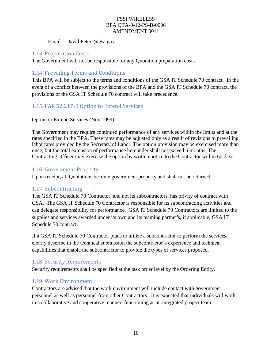Email: David.Peters@gsa.gov

### 1.13 Preparation Costs

The Government will not be responsible for any Quotation preparation costs.

### 1.14 Prevailing Terms and Conditions

This BPA will be subject to the terms and conditions of the GSA IT Schedule 70 contract. In the event of a conflict between the provisions of the BPA and the GSA IT Schedule 70 contract, the provisions of the GSA IT Schedule 70 contract will take precedence.

### 1.15 FAR 52.217-8 Option to Extend Services

#### Option to Extend Services (Nov 1999)

The Government may require continued performance of any services within the limits and at the rates specified in the BPA. These rates may be adjusted only as a result of revisions to prevailing labor rates provided by the Secretary of Labor. The option provision may be exercised more than once, but the total extension of performance hereunder shall not exceed 6 months. The Contracting Officer may exercise the option by written notice to the Contractor within 60 days.

### 1.16 Government Property

Upon receipt, all Quotations become government property and shall not be returned.

### 1.17 Subcontracting

The GSA IT Schedule 70 Contractor, and not its subcontractors, has privity of contract with GSA. The GSA IT Schedule 70 Contractor is responsible for its subcontracting activities and can delegate responsibility for performance. GSA IT Schedule 70 Contractors are limited to the supplies and services awarded under its own and its teaming partner's, if applicable, GSA IT Schedule 70 contract.

If a GSA IT Schedule 70 Contractor plans to utilize a subcontractor to perform the services, clearly describe in the technical submission the subcontractor's experience and technical capabilities that enable the subcontractor to provide the types of services proposed.

### 1.18 Security Requirements

Security requirements shall be specified at the task order level by the Ordering Entity.

### 1.19 Work Environment

Contractors are advised that the work environment will include contact with government personnel as well as personnel from other Contractors. It is expected that individuals will work in a collaborative and cooperative manner, functioning as an integrated project team.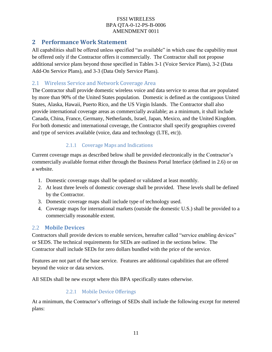# **2 Performance Work Statement**

All capabilities shall be offered unless specified "as available" in which case the capability must be offered only if the Contractor offers it commercially. The Contractor shall not propose additional service plans beyond those specified in Tables 3-1 (Voice Service Plans), 3-2 (Data Add-On Service Plans), and 3-3 (Data Only Service Plans).

# 2.1 Wireless Service and Network Coverage Area

The Contractor shall provide domestic wireless voice and data service to areas that are populated by more than 90% of the United States population. Domestic is defined as the contiguous United States, Alaska, Hawaii, Puerto Rico, and the US Virgin Islands. The Contractor shall also provide international coverage areas as commercially available; as a minimum, it shall include Canada, China, France, Germany, Netherlands, Israel, Japan, Mexico, and the United Kingdom. For both domestic and international coverage, the Contractor shall specify geographies covered and type of services available (voice, data and technology (LTE, etc)).

# 2.1.1 Coverage Maps and Indications

Current coverage maps as described below shall be provided electronically in the Contractor's commercially available format either through the Business Portal Interface (defined in 2.6) or on a website.

- 1. Domestic coverage maps shall be updated or validated at least monthly.
- 2. At least three levels of domestic coverage shall be provided. These levels shall be defined by the Contractor.
- 3. Domestic coverage maps shall include type of technology used.
- 4. Coverage maps for international markets (outside the domestic U.S.) shall be provided to a commercially reasonable extent.

### 2.2 **Mobile Devices**

Contractors shall provide devices to enable services, hereafter called "service enabling devices" or SEDS. The technical requirements for SEDs are outlined in the sections below. The Contractor shall include SEDs for zero dollars bundled with the price of the service.

Features are not part of the base service. Features are additional capabilities that are offered beyond the voice or data services.

All SEDs shall be new except where this BPA specifically states otherwise.

### 2.2.1 Mobile Device Offerings

At a minimum, the Contractor's offerings of SEDs shall include the following except for metered plans: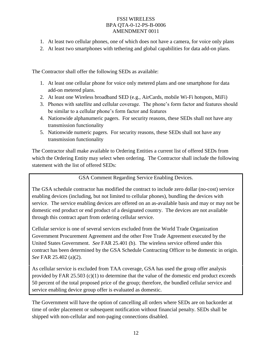- 1. At least two cellular phones, one of which does not have a camera, for voice only plans
- 2. At least two smartphones with tethering and global capabilities for data add-on plans.

The Contractor shall offer the following SEDs as available:

- 1. At least one cellular phone for voice only metered plans and one smartphone for data add-on metered plans.
- 2. At least one Wireless broadband SED (e.g., AirCards, mobile Wi-Fi hotspots, MiFi)
- 3. Phones with satellite and cellular coverage. The phone's form factor and features should be similar to a cellular phone's form factor and features
- 4. Nationwide alphanumeric pagers. For security reasons, these SEDs shall not have any transmission functionality
- 5. Nationwide numeric pagers. For security reasons, these SEDs shall not have any transmission functionality

The Contractor shall make available to Ordering Entities a current list of offered SEDs from which the Ordering Entity may select when ordering. The Contractor shall include the following statement with the list of offered SEDs:

### GSA Comment Regarding Service Enabling Devices.

The GSA schedule contractor has modified the contract to include zero dollar (no-cost) service enabling devices (including, but not limited to cellular phones), bundling the devices with service. The service enabling devices are offered on an as-available basis and may or may not be domestic end product or end product of a designated country. The devices are not available through this contract apart from ordering cellular service.

Cellular service is one of several services excluded from the World Trade Organization Government Procurement Agreement and the other Free Trade Agreement executed by the United States Government. *See* FAR 25.401 (b). The wireless service offered under this contract has been determined by the GSA Schedule Contracting Officer to be domestic in origin. *See* FAR 25.402 (a)(2).

As cellular service is excluded from TAA coverage, GSA has used the group offer analysis provided by FAR 25.503  $(c)(1)$  to determine that the value of the domestic end product exceeds 50 percent of the total proposed price of the group; therefore, the bundled cellular service and service enabling device group offer is evaluated as domestic.

The Government will have the option of cancelling all orders where SEDs are on backorder at time of order placement or subsequent notification without financial penalty. SEDs shall be shipped with non-cellular and non-paging connections disabled.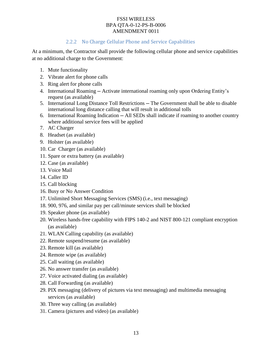### 2.2.2 No Charge Cellular Phone and Service Capabilities

At a minimum, the Contractor shall provide the following cellular phone and service capabilities at no additional charge to the Government:

- 1. Mute functionality
- 2. Vibrate alert for phone calls
- 3. Ring alert for phone calls
- 4. International Roaming ─ Activate international roaming only upon Ordering Entity's request (as available)
- 5. International Long Distance Toll Restrictions The Government shall be able to disable international long distance calling that will result in additional tolls
- 6. International Roaming Indication ─ All SEDs shall indicate if roaming to another country where additional service fees will be applied
- 7. AC Charger
- 8. Headset (as available)
- 9. Holster (as available)
- 10. Car Charger (as available)
- 11. Spare or extra battery (as available)
- 12. Case (as available)
- 13. Voice Mail
- 14. Caller ID
- 15. Call blocking
- 16. Busy or No Answer Condition
- 17. Unlimited Short Messaging Services (SMS) (i.e., text messaging)
- 18. 900, 976, and similar pay per call/minute services shall be blocked
- 19. Speaker phone (as available)
- 20. Wireless hands-free capability with FIPS 140-2 and NIST 800-121 compliant encryption (as available)
- 21. WLAN Calling capability (as available)
- 22. Remote suspend/resume (as available)
- 23. Remote kill (as available)
- 24. Remote wipe (as available)
- 25. Call waiting (as available)
- 26. No answer transfer (as available)
- 27. Voice activated dialing (as available)
- 28. Call Forwarding (as available)
- 29. PIX messaging (delivery of pictures via text messaging) and multimedia messaging services (as available)
- 30. Three way calling (as available)
- 31. Camera (pictures and video) (as available)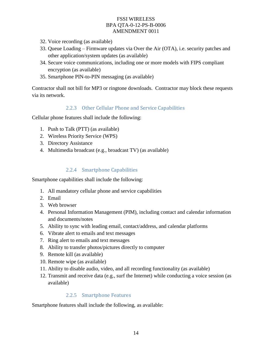- 32. Voice recording (as available)
- 33. Queue Loading Firmware updates via Over the Air (OTA), i.e. security patches and other application/system updates (as available)
- 34. Secure voice communications, including one or more models with FIPS compliant encryption (as available)
- 35. Smartphone PIN-to-PIN messaging (as available)

Contractor shall not bill for MP3 or ringtone downloads. Contractor may block these requests via its network.

### 2.2.3 Other Cellular Phone and Service Capabilities

Cellular phone features shall include the following:

- 1. Push to Talk (PTT) (as available)
- 2. Wireless Priority Service (WPS)
- 3. Directory Assistance
- 4. Multimedia broadcast (e.g., broadcast TV) (as available)

### 2.2.4 Smartphone Capabilities

Smartphone capabilities shall include the following:

- 1. All mandatory cellular phone and service capabilities
- 2. Email
- 3. Web browser
- 4. Personal Information Management (PIM), including contact and calendar information and documents/notes
- 5. Ability to sync with leading email, contact/address, and calendar platforms
- 6. Vibrate alert to emails and text messages
- 7. Ring alert to emails and text messages
- 8. Ability to transfer photos/pictures directly to computer
- 9. Remote kill (as available)
- 10. Remote wipe (as available)
- 11. Ability to disable audio, video, and all recording functionality (as available)
- 12. Transmit and receive data (e.g., surf the Internet) while conducting a voice session (as available)

#### 2.2.5 Smartphone Features

Smartphone features shall include the following, as available: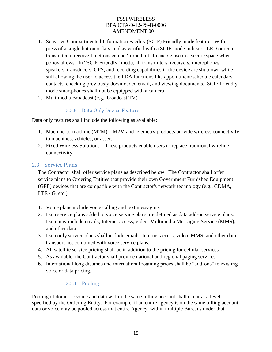- 1. Sensitive Compartmented Information Facility (SCIF) Friendly mode feature. With a press of a single button or key, and as verified with a SCIF-mode indicator LED or icon, transmit and receive functions can be 'turned off' to enable use in a secure space when policy allows. In "SCIF Friendly" mode, all transmitters, receivers, microphones, speakers, transducers, GPS, and recording capabilities in the device are shutdown while still allowing the user to access the PDA functions like appointment/schedule calendars, contacts, checking previously downloaded email, and viewing documents. SCIF Friendly mode smartphones shall not be equipped with a camera
- 2. Multimedia Broadcast (e.g., broadcast TV)

### 2.2.6 Data Only Device Features

Data only features shall include the following as available:

- 1. Machine-to-machine (M2M) M2M and telemetry products provide wireless connectivity to machines, vehicles, or assets
- 2. Fixed Wireless Solutions These products enable users to replace traditional wireline connectivity

### 2.3 Service Plans

The Contractor shall offer service plans as described below. The Contractor shall offer service plans to Ordering Entities that provide their own Government Furnished Equipment (GFE) devices that are compatible with the Contractor's network technology (e.g., CDMA, LTE 4G, etc.).

- 1. Voice plans include voice calling and text messaging.
- 2. Data service plans added to voice service plans are defined as data add-on service plans. Data may include emails, Internet access, video, Multimedia Messaging Service (MMS), and other data.
- 3. Data only service plans shall include emails, Internet access, video, MMS, and other data transport not combined with voice service plans.
- 4. All satellite service pricing shall be in addition to the pricing for cellular services.
- 5. As available, the Contractor shall provide national and regional paging services.
- 6. International long distance and international roaming prices shall be "add-ons" to existing voice or data pricing.

### 2.3.1 Pooling

Pooling of domestic voice and data within the same billing account shall occur at a level specified by the Ordering Entity. For example, if an entire agency is on the same billing account, data or voice may be pooled across that entire Agency, within multiple Bureaus under that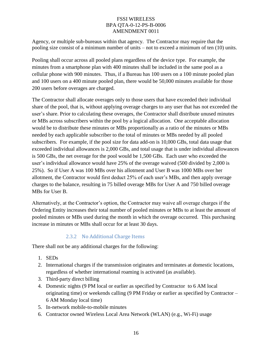Agency, or multiple sub-bureaus within that agency. The Contractor may require that the pooling size consist of a minimum number of units – not to exceed a minimum of ten (10) units.

Pooling shall occur across all pooled plans regardless of the device type. For example, the minutes from a smartphone plan with 400 minutes shall be included in the same pool as a cellular phone with 900 minutes. Thus, if a Bureau has 100 users on a 100 minute pooled plan and 100 users on a 400 minute pooled plan, there would be 50,000 minutes available for those 200 users before overages are charged.

The Contractor shall allocate overages only to those users that have exceeded their individual share of the pool, that is, without applying overage charges to any user that has not exceeded the user's share. Prior to calculating these overages, the Contractor shall distribute unused minutes or MBs across subscribers within the pool by a logical allocation. One acceptable allocation would be to distribute these minutes or MBs proportionally as a ratio of the minutes or MBs needed by each applicable subscriber to the total of minutes or MBs needed by all pooled subscribers. For example, if the pool size for data add-on is 10,000 GBs, total data usage that exceeded individual allowances is 2,000 GBs, and total usage that is under individual allowances is 500 GBs, the net overage for the pool would be 1,500 GBs. Each user who exceeded the user's individual allowance would have 25% of the overage waived (500 divided by 2,000 is 25%). So if User A was 100 MBs over his allotment and User B was 1000 MBs over her allotment, the Contractor would first deduct 25% of each user's MBs, and then apply overage charges to the balance, resulting in 75 billed overage MBs for User A and 750 billed overage MBs for User B.

Alternatively, at the Contractor's option, the Contractor may waive all overage charges if the Ordering Entity increases their total number of pooled minutes or MBs to at least the amount of pooled minutes or MBs used during the month in which the overage occurred. This purchasing increase in minutes or MBs shall occur for at least 30 days.

### 2.3.2 No Additional Charge Items

There shall not be any additional charges for the following:

- 1. SEDs
- 2. International charges if the transmission originates and terminates at domestic locations, regardless of whether international roaming is activated (as available).
- 3. Third-party direct billing
- 4. Domestic nights (9 PM local or earlier as specified by Contractor to 6 AM local originating time) or weekends calling (9 PM Friday or earlier as specified by Contractor – 6 AM Monday local time)
- 5. In-network mobile-to-mobile minutes
- 6. Contractor owned Wireless Local Area Network (WLAN) (e.g., Wi-Fi) usage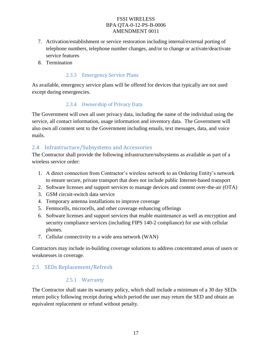- 7. Activation/establishment or service restoration including internal/external porting of telephone numbers, telephone number changes, and/or to change or activate/deactivate service features
- 8. Termination

### 2.3.3 Emergency Service Plans

As available, emergency service plans will be offered for devices that typically are not used except during emergencies.

### 2.3.4 Ownership of Privacy Data

The Government will own all user privacy data, including the name of the individual using the service, all contact information, usage information and inventory data. The Government will also own all content sent to the Government including emails, text messages, data, and voice mails.

### 2.4 Infrastructure/Subsystems and Accessories

The Contractor shall provide the following infrastructure/subsystems as available as part of a wireless service order:

- 1. A direct connection from Contractor's wireless network to an Ordering Entity's network to ensure secure, private transport that does not include public Internet-based transport
- 2. Software licenses and support services to manage devices and content over-the-air (OTA)
- 3. GSM circuit-switch data service
- 4. Temporary antenna installations to improve coverage
- 5. Femtocells, microcells, and other coverage enhancing offerings
- 6. Software licenses and support services that enable maintenance as well as encryption and security compliance services (including FIPS 140-2 compliance) for use with cellular phones.
- 7. Cellular connectivity to a wide area network (WAN)

Contractors may include in-building coverage solutions to address concentrated areas of users or weaknesses in coverage.

# 2.5 SEDs Replacement/Refresh

### 2.5.1 Warranty

The Contractor shall state its warranty policy, which shall include a minimum of a 30 day SEDs return policy following receipt during which period the user may return the SED and obtain an equivalent replacement or refund without penalty.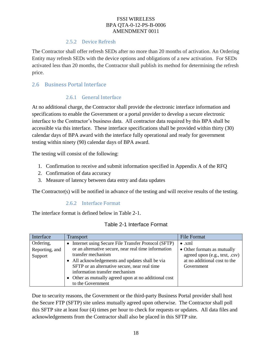#### 2.5.2 Device Refresh

The Contractor shall offer refresh SEDs after no more than 20 months of activation. An Ordering Entity may refresh SEDs with the device options and obligations of a new activation. For SEDs activated less than 20 months, the Contractor shall publish its method for determining the refresh price.

# 2.6 Business Portal Interface

### 2.6.1 General Interface

At no additional charge, the Contractor shall provide the electronic interface information and specifications to enable the Government or a portal provider to develop a secure electronic interface to the Contractor's business data. All contractor data required by this BPA shall be accessible via this interface. These interface specifications shall be provided within thirty (30) calendar days of BPA award with the interface fully operational and ready for government testing within ninety (90) calendar days of BPA award.

The testing will consist of the following:

- 1. Confirmation to receive and submit information specified in Appendix A of the RFQ
- 2. Confirmation of data accuracy
- 3. Measure of latency between data entry and data updates

The Contractor(s) will be notified in advance of the testing and will receive results of the testing.

#### 2.6.2 Interface Format

The interface format is defined below in Table 2-1.

| Interface      | <b>Transport</b>                                         | <b>File Format</b>             |
|----------------|----------------------------------------------------------|--------------------------------|
| Ordering,      | Internet using Secure File Transfer Protocol (SFTP)<br>٠ | $\bullet$ xml                  |
| Reporting, and | or an alternative secure, near real time information     | • Other formats as mutually    |
| Support        | transfer mechanism                                       | agreed upon (e.g., text, .csv) |
|                | All acknowledgements and updates shall be via            | at no additional cost to the   |
|                | SFTP or an alternative secure, near real time            | Government                     |
|                | information transfer mechanism                           |                                |
|                | • Other as mutually agreed upon at no additional cost    |                                |
|                | to the Government                                        |                                |

Due to security reasons, the Government or the third-party Business Portal provider shall host the Secure FTP (SFTP) site unless mutually agreed upon otherwise. The Contractor shall poll this SFTP site at least four (4) times per hour to check for requests or updates. All data files and acknowledgements from the Contractor shall also be placed in this SFTP site.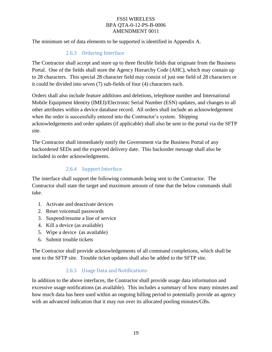The minimum set of data elements to be supported is identified in Appendix A.

### 2.6.3 Ordering Interface

The Contractor shall accept and store up to three flexible fields that originate from the Business Portal. One of the fields shall store the Agency Hierarchy Code (AHC), which may contain up to 28 characters. This special 28 character field may consist of just one field of 28 characters or it could be divided into seven (7) sub-fields of four (4) characters each.

Orders shall also include feature additions and deletions, telephone number and International Mobile Equipment Identity (IMEI)/Electronic Serial Number (ESN) updates, and changes to all other attributes within a device database record. All orders shall include an acknowledgement when the order is successfully entered into the Contractor's system. Shipping acknowledgements and order updates (if applicable) shall also be sent to the portal via the SFTP site.

The Contractor shall immediately notify the Government via the Business Portal of any backordered SEDs and the expected delivery date. This backorder message shall also be included in order acknowledgments.

### 2.6.4 Support Interface

The interface shall support the following commands being sent to the Contractor. The Contractor shall state the target and maximum amount of time that the below commands shall take.

- 1. Activate and deactivate devices
- 2. Reset voicemail passwords
- 3. Suspend/resume a line of service
- 4. Kill a device (as available)
- 5. Wipe a device (as available)
- 6. Submit trouble tickets

The Contractor shall provide acknowledgements of all command completions, which shall be sent to the SFTP site. Trouble ticket updates shall also be added to the SFTP site.

### 2.6.5 Usage Data and Notifications

In addition to the above interfaces, the Contractor shall provide usage data information and excessive usage notifications (as available). This includes a summary of how many minutes and how much data has been used within an ongoing billing period to potentially provide an agency with an advanced indication that it may run over its allocated pooling minutes/GBs.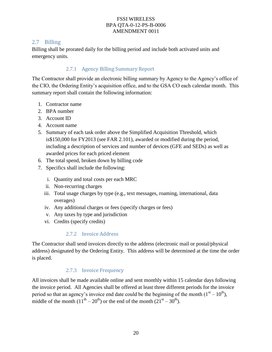## 2.7 Billing

Billing shall be prorated daily for the billing period and include both activated units and emergency units.

# 2.7.1 Agency Billing Summary Report

The Contractor shall provide an electronic billing summary by Agency to the Agency's office of the CIO, the Ordering Entity's acquisition office, and to the GSA CO each calendar month. This summary report shall contain the following information:

- 1. Contractor name
- 2. BPA number
- 3. Account ID
- 4. Account name
- 5. Summary of each task order above the Simplified Acquisition Threshold, which is\$150,000 for FY2013 (see FAR 2.101), awarded or modified during the period, including a description of services and number of devices (GFE and SEDs) as well as awarded prices for each priced element
- 6. The total spend, broken down by billing code
- 7. Specifics shall include the following:
	- i. Quantity and total costs per each MRC
	- ii. Non-recurring charges
	- iii. Total usage charges by type (e.g., text messages, roaming, international, data overages)
	- iv. Any additional charges or fees (specify charges or fees)
	- v. Any taxes by type and jurisdiction
	- vi. Credits (specify credits)

### 2.7.2 Invoice Address

The Contractor shall send invoices directly to the address (electronic mail or postal/physical address) designated by the Ordering Entity. This address will be determined at the time the order is placed.

### 2.7.3 Invoice Frequency

All invoices shall be made available online and sent monthly within 15 calendar days following the invoice period. All Agencies shall be offered at least three different periods for the invoice period so that an agency's invoice end date could be the beginning of the month  $(1<sup>st</sup> - 10<sup>th</sup>)$ , middle of the month  $(11<sup>th</sup> - 20<sup>th</sup>)$  or the end of the month  $(21<sup>st</sup> - 30<sup>th</sup>)$ .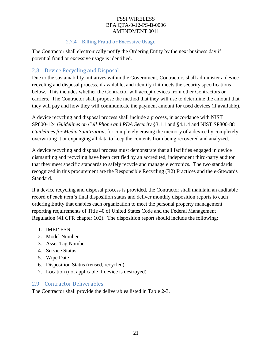### 2.7.4 Billing Fraud or Excessive Usage

The Contractor shall electronically notify the Ordering Entity by the next business day if potential fraud or excessive usage is identified.

### 2.8 Device Recycling and Disposal

Due to the sustainability initiatives within the Government, Contractors shall administer a device recycling and disposal process, if available, and identify if it meets the security specifications below. This includes whether the Contractor will accept devices from other Contractors or carriers. The Contractor shall propose the method that they will use to determine the amount that they will pay and how they will communicate the payment amount for used devices (if available).

A device recycling and disposal process shall include a process, in accordance with NIST SP800-124 *Guidelines on Cell Phone and PDA Security* §3.1.1 and §4.1.4 and NIST SP800-88 *Guidelines for Media Sanitization*, for completely erasing the memory of a device by completely overwriting it or expunging all data to keep the contents from being recovered and analyzed.

A device recycling and disposal process must demonstrate that all facilities engaged in device dismantling and recycling have been certified by an accredited, independent third-party auditor that they meet specific standards to safely recycle and manage electronics. The two standards recognized in this procurement are the Responsible Recycling (R2) Practices and the e-Stewards Standard.

If a device recycling and disposal process is provided, the Contractor shall maintain an auditable record of each item's final disposition status and deliver monthly disposition reports to each ordering Entity that enables each organization to meet the personal property management reporting requirements of Title 40 of United States Code and the Federal Management Regulation (41 CFR chapter 102). The disposition report should include the following:

- 1. IMEI/ ESN
- 2. Model Number
- 3. Asset Tag Number
- 4. Service Status
- 5. Wipe Date
- 6. Disposition Status (reused, recycled)
- 7. Location (not applicable if device is destroyed)

# 2.9 Contractor Deliverables

The Contractor shall provide the deliverables listed in Table 2-3.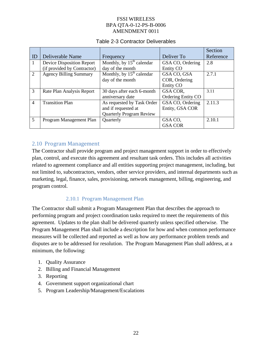### Table 2-3 Contractor Deliverables

|                |                               |                                        |                    | Section   |
|----------------|-------------------------------|----------------------------------------|--------------------|-----------|
| ID             | Deliverable Name              | Frequency                              | Deliver To         | Reference |
| $\mathbf{1}$   | Device Disposition Report     | Monthly, by $15th$ calendar            | GSA CO, Ordering   | 2.8       |
|                | (if provided by Contractor)   | day of the month                       | Entity CO          |           |
| 2              | <b>Agency Billing Summary</b> | Monthly, by $15th$ calendar            | GSA CO, GSA        | 2.7.1     |
|                |                               | day of the month                       | COR, Ordering      |           |
|                |                               |                                        | Entity CO          |           |
| 3              | Rate Plan Analysis Report     | 30 days after each 6-month             | GSA COR,           | 3.11      |
|                |                               | anniversary date                       | Ordering Entity CO |           |
| $\overline{4}$ | <b>Transition Plan</b>        | As requested by Task Order             | GSA CO, Ordering   | 2.11.3    |
|                |                               | Entity, GSA COR<br>and if requested at |                    |           |
|                |                               | <b>Quarterly Program Review</b>        |                    |           |
| 5              | Program Management Plan       | Quarterly                              | GSA CO.            | 2.10.1    |
|                |                               |                                        | <b>GSA COR</b>     |           |

#### 2.10 Program Management

The Contractor shall provide program and project management support in order to effectively plan, control, and execute this agreement and resultant task orders. This includes all activities related to agreement compliance and all entities supporting project management, including, but not limited to, subcontractors, vendors, other service providers, and internal departments such as marketing, legal, finance, sales, provisioning, network management, billing, engineering, and program control.

#### 2.10.1 Program Management Plan

The Contractor shall submit a Program Management Plan that describes the approach to performing program and project coordination tasks required to meet the requirements of this agreement. Updates to the plan shall be delivered quarterly unless specified otherwise. The Program Management Plan shall include a description for how and when common performance measures will be collected and reported as well as how any performance problem trends and disputes are to be addressed for resolution. The Program Management Plan shall address, at a minimum, the following:

- 1. Quality Assurance
- 2. Billing and Financial Management
- 3. Reporting
- 4. Government support organizational chart
- 5. Program Leadership/Management/Escalations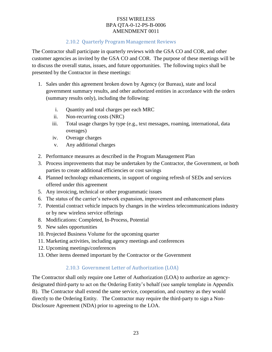### 2.10.2 Quarterly Program Management Reviews

The Contractor shall participate in quarterly reviews with the GSA CO and COR, and other customer agencies as invited by the GSA CO and COR. The purpose of these meetings will be to discuss the overall status, issues, and future opportunities. The following topics shall be presented by the Contractor in these meetings:

- 1. Sales under this agreement broken down by Agency (or Bureau), state and local government summary results, and other authorized entities in accordance with the orders (summary results only), including the following:
	- i. Quantity and total charges per each MRC
	- ii. Non-recurring costs (NRC)
	- iii. Total usage charges by type (e.g., text messages, roaming, international, data overages)
	- iv. Overage charges
	- v. Any additional charges
- 2. Performance measures as described in the Program Management Plan
- 3. Process improvements that may be undertaken by the Contractor, the Government, or both parties to create additional efficiencies or cost savings
- 4. Planned technology enhancements, in support of ongoing refresh of SEDs and services offered under this agreement
- 5. Any invoicing, technical or other programmatic issues
- 6. The status of the carrier's network expansion, improvement and enhancement plans
- 7. Potential contract vehicle impacts by changes in the wireless telecommunications industry or by new wireless service offerings
- 8. Modifications: Completed, In-Process, Potential
- 9. New sales opportunities
- 10. Projected Business Volume for the upcoming quarter
- 11. Marketing activities, including agency meetings and conferences
- 12. Upcoming meetings/conferences
- 13. Other items deemed important by the Contractor or the Government

### 2.10.3 Government Letter of Authorization (LOA)

The Contractor shall only require one Letter of Authorization (LOA) to authorize an agencydesignated third-party to act on the Ordering Entity's behalf (see sample template in Appendix B). The Contractor shall extend the same service, cooperation, and courtesy as they would directly to the Ordering Entity. The Contractor may require the third-party to sign a Non-Disclosure Agreement (NDA) prior to agreeing to the LOA.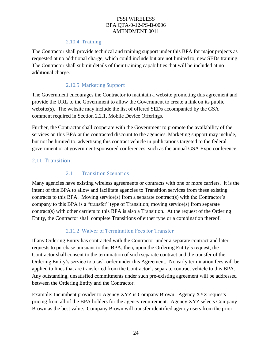#### 2.10.4 Training

The Contractor shall provide technical and training support under this BPA for major projects as requested at no additional charge, which could include but are not limited to, new SEDs training. The Contractor shall submit details of their training capabilities that will be included at no additional charge.

### 2.10.5 Marketing Support

The Government encourages the Contractor to maintain a website promoting this agreement and provide the URL to the Government to allow the Government to create a link on its public website(s). The website may include the list of offered SEDs accompanied by the GSA comment required in Section 2.2.1, Mobile Device Offerings.

Further, the Contractor shall cooperate with the Government to promote the availability of the services on this BPA at the contracted discount to the agencies. Marketing support may include, but not be limited to, advertising this contract vehicle in publications targeted to the federal government or at government-sponsored conferences, such as the annual GSA Expo conference.

### 2.11 Transition

#### 2.11.1 Transition Scenarios

Many agencies have existing wireless agreements or contracts with one or more carriers. It is the intent of this BPA to allow and facilitate agencies to Transition services from these existing contracts to this BPA. Moving service(s) from a separate contract(s) with the Contractor's company to this BPA is a "transfer" type of Transition; moving service(s) from separate contract(s) with other carriers to this BPA is also a Transition. At the request of the Ordering Entity, the Contractor shall complete Transitions of either type or a combination thereof.

### 2.11.2 Waiver of Termination Fees for Transfer

If any Ordering Entity has contracted with the Contractor under a separate contract and later requests to purchase pursuant to this BPA, then, upon the Ordering Entity's request, the Contractor shall consent to the termination of such separate contract and the transfer of the Ordering Entity's service to a task order under this Agreement. No early termination fees will be applied to lines that are transferred from the Contractor's separate contract vehicle to this BPA. Any outstanding, unsatisfied commitments under such pre-existing agreement will be addressed between the Ordering Entity and the Contractor.

Example: Incumbent provider to Agency XYZ is Company Brown. Agency XYZ requests pricing from all of the BPA holders for the agency requirement. Agency XYZ selects Company Brown as the best value. Company Brown will transfer identified agency users from the prior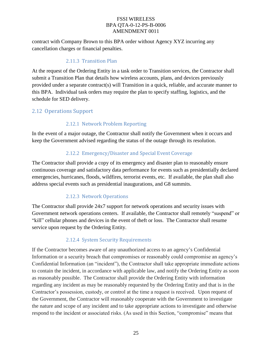contract with Company Brown to this BPA order without Agency XYZ incurring any cancellation charges or financial penalties.

### 2.11.3 Transition Plan

At the request of the Ordering Entity in a task order to Transition services, the Contractor shall submit a Transition Plan that details how wireless accounts, plans, and devices previously provided under a separate contract(s) will Transition in a quick, reliable, and accurate manner to this BPA. Individual task orders may require the plan to specify staffing, logistics, and the schedule for SED delivery.

# 2.12 Operations Support

# 2.12.1 Network Problem Reporting

In the event of a major outage, the Contractor shall notify the Government when it occurs and keep the Government advised regarding the status of the outage through its resolution.

# 2.12.2 Emergency/Disaster and Special Event Coverage

The Contractor shall provide a copy of its emergency and disaster plan to reasonably ensure continuous coverage and satisfactory data performance for events such as presidentially declared emergencies, hurricanes, floods, wildfires, terrorist events, etc. If available, the plan shall also address special events such as presidential inaugurations, and G8 summits.

### 2.12.3 Network Operations

The Contractor shall provide 24x7 support for network operations and security issues with Government network operations centers. If available, the Contractor shall remotely "suspend" or "kill" cellular phones and devices in the event of theft or loss. The Contractor shall resume service upon request by the Ordering Entity.

### 2.12.4 System Security Requirements

If the Contractor becomes aware of any unauthorized access to an agency's Confidential Information or a security breach that compromises or reasonably could compromise an agency's Confidential Information (an "incident"), the Contractor shall take appropriate immediate actions to contain the incident, in accordance with applicable law, and notify the Ordering Entity as soon as reasonably possible. The Contractor shall provide the Ordering Entity with information regarding any incident as may be reasonably requested by the Ordering Entity and that is in the Contractor's possession, custody, or control at the time a request is received. Upon request of the Government, the Contractor will reasonably cooperate with the Government to investigate the nature and scope of any incident and to take appropriate actions to investigate and otherwise respond to the incident or associated risks. (As used in this Section, "compromise" means that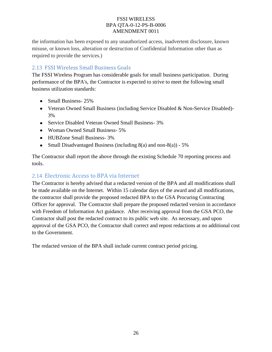the information has been exposed to any unauthorized access, inadvertent disclosure, known misuse, or known loss, alteration or destruction of Confidential Information other than as required to provide the services.)

# 2.13 FSSI Wireless Small Business Goals

The FSSI Wireless Program has considerable goals for small business participation. During performance of the BPA's, the Contractor is expected to strive to meet the following small business utilization standards:

- Small Business- 25%
- Veteran Owned Small Business (including Service Disabled & Non-Service Disabled)- 3%
- Service Disabled Veteran Owned Small Business- 3%
- Woman Owned Small Business- 5%
- HUBZone Small Business- 3%
- Small Disadvantaged Business (including  $8(a)$  and non- $8(a)$ ) 5%

The Contractor shall report the above through the existing Schedule 70 reporting process and tools.

### 2.14 Electronic Access to BPA via Internet

The Contractor is hereby advised that a redacted version of the BPA and all modifications shall be made available on the Internet. Within 15 calendar days of the award and all modifications, the contractor shall provide the proposed redacted BPA to the GSA Procuring Contracting Officer for approval. The Contractor shall prepare the proposed redacted version in accordance with Freedom of Information Act guidance. After receiving approval from the GSA PCO, the Contractor shall post the redacted contract to its public web site. As necessary, and upon approval of the GSA PCO, the Contractor shall correct and repost redactions at no additional cost to the Government.

The redacted version of the BPA shall include current contract period pricing.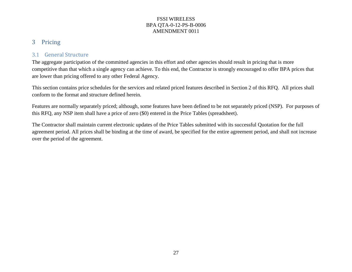# 3 Pricing

### 3.1 General Structure

The aggregate participation of the committed agencies in this effort and other agencies should result in pricing that is more competitive than that which a single agency can achieve. To this end, the Contractor is strongly encouraged to offer BPA prices that are lower than pricing offered to any other Federal Agency.

This section contains price schedules for the services and related priced features described in Section 2 of this RFQ. All prices shall conform to the format and structure defined herein.

Features are normally separately priced; although, some features have been defined to be not separately priced (NSP). For purposes of this RFQ, any NSP item shall have a price of zero (\$0) entered in the Price Tables (spreadsheet).

The Contractor shall maintain current electronic updates of the Price Tables submitted with its successful Quotation for the full agreement period. All prices shall be binding at the time of award, be specified for the entire agreement period, and shall not increase over the period of the agreement.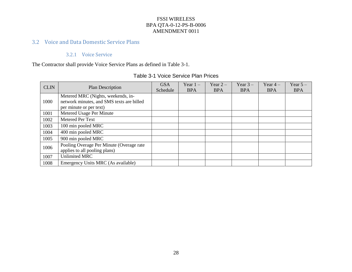# 3.2 Voice and Data Domestic Service Plans

### 3.2.1 Voice Service

The Contractor shall provide Voice Service Plans as defined in Table 3-1.

| <b>CLIN</b> | Plan Description                                                                                           | <b>GSA</b><br>Schedule | Year $1 -$<br><b>BPA</b> | Year $2-$<br><b>BPA</b> | Year $3-$<br><b>BPA</b> | Year $4-$<br><b>BPA</b> | Year $5-$<br><b>BPA</b> |
|-------------|------------------------------------------------------------------------------------------------------------|------------------------|--------------------------|-------------------------|-------------------------|-------------------------|-------------------------|
| 1000        | Metered MRC (Nights, weekends, in-<br>network minutes, and SMS texts are billed<br>per minute or per text) |                        |                          |                         |                         |                         |                         |
| 1001        | Metered Usage Per Minute                                                                                   |                        |                          |                         |                         |                         |                         |
| 1002        | Metered Per Text                                                                                           |                        |                          |                         |                         |                         |                         |
| 1003        | 100 min pooled MRC                                                                                         |                        |                          |                         |                         |                         |                         |
| 1004        | 400 min pooled MRC                                                                                         |                        |                          |                         |                         |                         |                         |
| 1005        | 900 min pooled MRC                                                                                         |                        |                          |                         |                         |                         |                         |
| 1006        | Pooling Overage Per Minute (Overage rate<br>applies to all pooling plans)                                  |                        |                          |                         |                         |                         |                         |
| 1007        | <b>Unlimited MRC</b>                                                                                       |                        |                          |                         |                         |                         |                         |
| 1008        | Emergency Units MRC (As available)                                                                         |                        |                          |                         |                         |                         |                         |

#### Table 3-1 Voice Service Plan Prices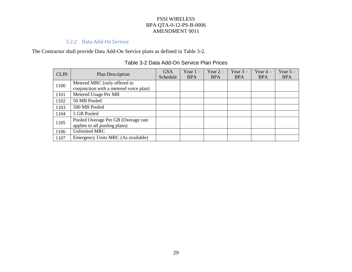### 3.2.2 Data Add-On Service

The Contractor shall provide Data Add-On Service plans as defined in Table 3-2.

| <b>CLIN</b> | <b>Plan Description</b>                                                | <b>GSA</b><br>Schedule | Year $1 -$<br><b>BPA</b> | Year $2-$<br><b>BPA</b> | Year $3-$<br><b>BPA</b> | Year $4-$<br><b>BPA</b> | Year $5-$<br><b>BPA</b> |
|-------------|------------------------------------------------------------------------|------------------------|--------------------------|-------------------------|-------------------------|-------------------------|-------------------------|
| 1100        | Metered MRC (only offered in<br>conjunction with a metered voice plan) |                        |                          |                         |                         |                         |                         |
| 1101        | Metered Usage Per MB                                                   |                        |                          |                         |                         |                         |                         |
| 1102        | 50 MB Pooled                                                           |                        |                          |                         |                         |                         |                         |
| 1103        | 500 MB Pooled                                                          |                        |                          |                         |                         |                         |                         |
| 1104        | 5 GB Pooled                                                            |                        |                          |                         |                         |                         |                         |
| 1105        | Pooled Overage Per GB (Overage rate<br>applies to all pooling plans)   |                        |                          |                         |                         |                         |                         |
| 1106        | <b>Unlimited MRC</b>                                                   |                        |                          |                         |                         |                         |                         |
| 1107        | Emergency Units MRC (As available)                                     |                        |                          |                         |                         |                         |                         |

### Table 3-2 Data Add-On Service Plan Prices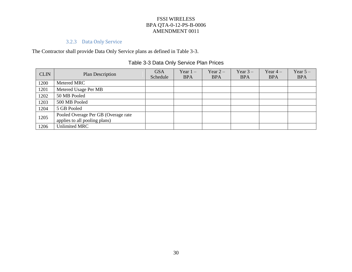### 3.2.3 Data Only Service

The Contractor shall provide Data Only Service plans as defined in Table 3-3.

# Table 3-3 Data Only Service Plan Prices

| <b>CLIN</b> | Plan Description                    | <b>GSA</b> | Year $1 -$ | Year $2-$  | Year $3-$  | Year $4-$  | Year $5-$  |
|-------------|-------------------------------------|------------|------------|------------|------------|------------|------------|
|             |                                     | Schedule   | <b>BPA</b> | <b>BPA</b> | <b>BPA</b> | <b>BPA</b> | <b>BPA</b> |
| 1200        | Metered MRC                         |            |            |            |            |            |            |
| 1201        | Metered Usage Per MB                |            |            |            |            |            |            |
| 1202        | 50 MB Pooled                        |            |            |            |            |            |            |
| 1203        | 500 MB Pooled                       |            |            |            |            |            |            |
| 1204        | 5 GB Pooled                         |            |            |            |            |            |            |
| 1205        | Pooled Overage Per GB (Overage rate |            |            |            |            |            |            |
|             | applies to all pooling plans)       |            |            |            |            |            |            |
| 1206        | <b>Unlimited MRC</b>                |            |            |            |            |            |            |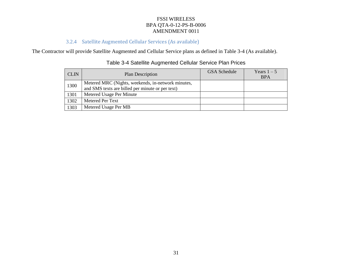# 3.2.4 Satellite Augmented Cellular Services (As available)

The Contractor will provide Satellite Augmented and Cellular Service plans as defined in Table 3-4 (As available).

| <b>CLIN</b> | <b>Plan Description</b>                                                                                | GSA Schedule | Years $1-5$<br><b>BPA</b> |
|-------------|--------------------------------------------------------------------------------------------------------|--------------|---------------------------|
| 1300        | Metered MRC (Nights, weekends, in-network minutes,<br>and SMS texts are billed per minute or per text) |              |                           |
| 1301        | Metered Usage Per Minute                                                                               |              |                           |
| 1302        | Metered Per Text                                                                                       |              |                           |
| 1303        | Metered Usage Per MB                                                                                   |              |                           |

# Table 3-4 Satellite Augmented Cellular Service Plan Prices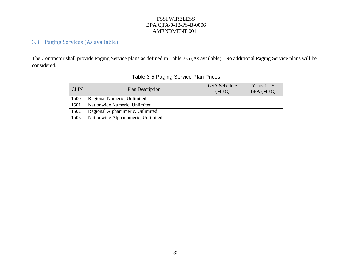# 3.3 Paging Services (As available)

The Contractor shall provide Paging Service plans as defined in Table 3-5 (As available). No additional Paging Service plans will be considered.

| <b>CLIN</b> | Plan Description                   | GSA Schedule<br>(MRC) | Years $1-5$<br>BPA (MRC) |
|-------------|------------------------------------|-----------------------|--------------------------|
| 1500        | Regional Numeric, Unlimited        |                       |                          |
| 1501        | Nationwide Numeric, Unlimited      |                       |                          |
| 1502        | Regional Alphanumeric, Unlimited   |                       |                          |
| 1503        | Nationwide Alphanumeric, Unlimited |                       |                          |

# Table 3-5 Paging Service Plan Prices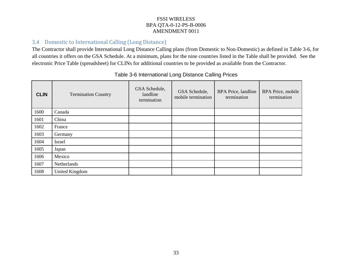## 3.4 Domestic to International Calling (Long Distance)

The Contractor shall provide International Long Distance Calling plans (from Domestic to Non-Domestic) as defined in Table 3-6, for all countries it offers on the GSA Schedule. At a minimum, plans for the nine countries listed in the Table shall be provided. See the electronic Price Table (spreadsheet) for CLINs for additional countries to be provided as available from the Contractor.

| <b>CLIN</b> | <b>Termination Country</b> | GSA Schedule,<br>landline<br>termination | GSA Schedule,<br>mobile termination | <b>BPA</b> Price, landline<br>termination | <b>BPA Price, mobile</b><br>termination |
|-------------|----------------------------|------------------------------------------|-------------------------------------|-------------------------------------------|-----------------------------------------|
| 1600        | Canada                     |                                          |                                     |                                           |                                         |
| 1601        | China                      |                                          |                                     |                                           |                                         |
| 1602        | France                     |                                          |                                     |                                           |                                         |
| 1603        | Germany                    |                                          |                                     |                                           |                                         |
| 1604        | Israel                     |                                          |                                     |                                           |                                         |
| 1605        | Japan                      |                                          |                                     |                                           |                                         |
| 1606        | Mexico                     |                                          |                                     |                                           |                                         |
| 1607        | Netherlands                |                                          |                                     |                                           |                                         |
| 1608        | <b>United Kingdom</b>      |                                          |                                     |                                           |                                         |

### Table 3-6 International Long Distance Calling Prices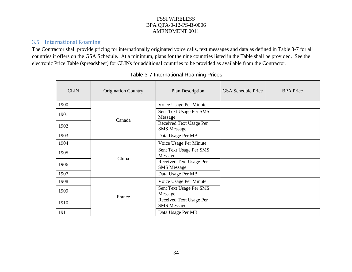# 3.5 International Roaming

The Contractor shall provide pricing for internationally originated voice calls, text messages and data as defined in Table 3-7 for all countries it offers on the GSA Schedule. At a minimum, plans for the nine countries listed in the Table shall be provided. See the electronic Price Table (spreadsheet) for CLINs for additional countries to be provided as available from the Contractor.

| <b>CLIN</b> | <b>Origination Country</b> | Plan Description                              | <b>GSA</b> Schedule Price | <b>BPA</b> Price |
|-------------|----------------------------|-----------------------------------------------|---------------------------|------------------|
| 1900        |                            | Voice Usage Per Minute                        |                           |                  |
| 1901        |                            | Sent Text Usage Per SMS<br>Message            |                           |                  |
| 1902        | Canada                     | Received Text Usage Per<br><b>SMS</b> Message |                           |                  |
| 1903        |                            | Data Usage Per MB                             |                           |                  |
| 1904        | China                      | Voice Usage Per Minute                        |                           |                  |
| 1905        |                            | Sent Text Usage Per SMS<br>Message            |                           |                  |
| 1906        |                            | Received Text Usage Per<br><b>SMS</b> Message |                           |                  |
| 1907        |                            | Data Usage Per MB                             |                           |                  |
| 1908        |                            | Voice Usage Per Minute                        |                           |                  |
| 1909        | France                     | Sent Text Usage Per SMS<br>Message            |                           |                  |
| 1910        |                            | Received Text Usage Per<br><b>SMS</b> Message |                           |                  |
| 1911        |                            | Data Usage Per MB                             |                           |                  |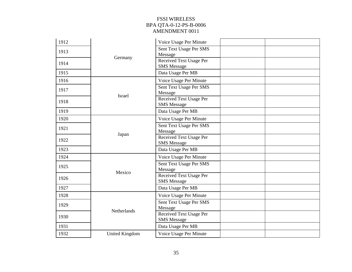| 1912 |                       | Voice Usage Per Minute                               |  |
|------|-----------------------|------------------------------------------------------|--|
|      |                       |                                                      |  |
| 1913 |                       | Sent Text Usage Per SMS<br>Message                   |  |
| 1914 | Germany               | Received Text Usage Per<br><b>SMS</b> Message        |  |
| 1915 |                       | Data Usage Per MB                                    |  |
| 1916 |                       | Voice Usage Per Minute                               |  |
| 1917 | <b>Israel</b>         | Sent Text Usage Per SMS<br>Message                   |  |
| 1918 |                       | Received Text Usage Per<br><b>SMS</b> Message        |  |
| 1919 |                       | Data Usage Per MB                                    |  |
| 1920 | Japan                 | Voice Usage Per Minute                               |  |
| 1921 |                       | Sent Text Usage Per SMS<br>Message                   |  |
| 1922 |                       | Received Text Usage Per<br><b>SMS</b> Message        |  |
| 1923 |                       | Data Usage Per MB                                    |  |
| 1924 |                       | Voice Usage Per Minute                               |  |
| 1925 | Mexico                | Sent Text Usage Per SMS<br>Message                   |  |
| 1926 |                       | <b>Received Text Usage Per</b><br><b>SMS</b> Message |  |
| 1927 |                       | Data Usage Per MB                                    |  |
| 1928 |                       | Voice Usage Per Minute                               |  |
| 1929 | Netherlands           | Sent Text Usage Per SMS<br>Message                   |  |
| 1930 |                       | <b>Received Text Usage Per</b><br><b>SMS</b> Message |  |
| 1931 |                       | Data Usage Per MB                                    |  |
| 1932 | <b>United Kingdom</b> | Voice Usage Per Minute                               |  |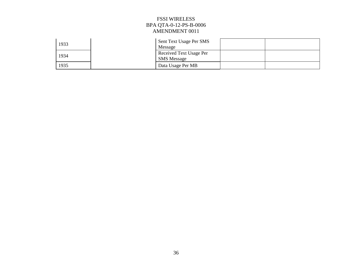| 1933 | Sent Text Usage Per SMS<br>Message            |  |
|------|-----------------------------------------------|--|
| 1934 | Received Text Usage Per<br><b>SMS</b> Message |  |
| 1935 | Data Usage Per MB                             |  |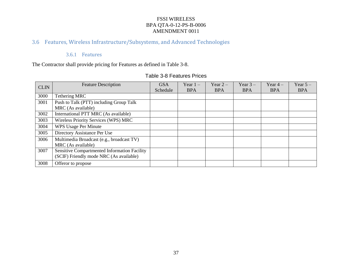# 3.6 Features, Wireless Infrastructure/Subsystems, and Advanced Technologies

### 3.6.1 Features

The Contractor shall provide pricing for Features as defined in Table 3-8.

### Table 3-8 Features Prices

| <b>CLIN</b> | <b>Feature Description</b>                   | <b>GSA</b> | Year $1 -$ | Year $2-$  | Year $3-$  | Year $4-$  | Year $5-$  |
|-------------|----------------------------------------------|------------|------------|------------|------------|------------|------------|
|             |                                              | Schedule   | <b>BPA</b> | <b>BPA</b> | <b>BPA</b> | <b>BPA</b> | <b>BPA</b> |
| 3000        | Tethering MRC                                |            |            |            |            |            |            |
| 3001        | Push to Talk (PTT) including Group Talk      |            |            |            |            |            |            |
|             | MRC (As available)                           |            |            |            |            |            |            |
| 3002        | International PTT MRC (As available)         |            |            |            |            |            |            |
| 3003        | <b>Wireless Priority Services (WPS) MRC</b>  |            |            |            |            |            |            |
| 3004        | <b>WPS Usage Per Minute</b>                  |            |            |            |            |            |            |
| 3005        | Directory Assistance Per Use                 |            |            |            |            |            |            |
| 3006        | Multimedia Broadcast (e.g., broadcast TV)    |            |            |            |            |            |            |
|             | MRC (As available)                           |            |            |            |            |            |            |
| 3007        | Sensitive Compartmented Information Facility |            |            |            |            |            |            |
|             | (SCIF) Friendly mode NRC (As available)      |            |            |            |            |            |            |
| 3008        | Offeror to propose                           |            |            |            |            |            |            |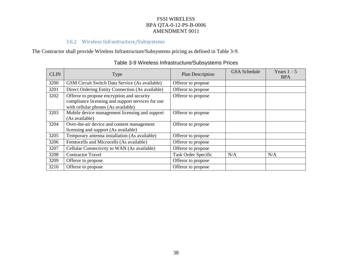# 3.6.2 Wireless Infrastructure/Subsystems

### The Contractor shall provide Wireless Infrastructure/Subsystems pricing as defined in Table 3-9.

| <b>CLIN</b> | Type                                                                                                                                   | <b>Plan Description</b> | <b>GSA</b> Schedule | Years $1-5$<br><b>BPA</b> |
|-------------|----------------------------------------------------------------------------------------------------------------------------------------|-------------------------|---------------------|---------------------------|
| 3200        | GSM Circuit Switch Data Service (As available)                                                                                         | Offeror to propose      |                     |                           |
| 3201        | Direct Ordering Entity Connection (As available)                                                                                       | Offeror to propose      |                     |                           |
| 3202        | Offeror to propose encryption and security<br>compliance licensing and support services for use<br>with cellular phones (As available) | Offeror to propose      |                     |                           |
| 3203        | Mobile device management licensing and support<br>(As available)                                                                       | Offeror to propose      |                     |                           |
| 3204        | Over-the-air device and content management<br>licensing and support (As available)                                                     | Offeror to propose      |                     |                           |
| 3205        | Temporary antenna installation (As available)                                                                                          | Offeror to propose      |                     |                           |
| 3206        | Femtocells and Microcells (As available)                                                                                               | Offeror to propose      |                     |                           |
| 3207        | Cellular Connectivity to WAN (As available)                                                                                            | Offeror to propose      |                     |                           |
| 3208        | <b>Contractor Travel</b>                                                                                                               | Task Order Specific     | N/A                 | N/A                       |
| 3209        | Offeror to propose                                                                                                                     | Offeror to propose      |                     |                           |
| 3210        | Offeror to propose                                                                                                                     | Offeror to propose      |                     |                           |

# Table 3-9 Wireless Infrastructure/Subsystems Prices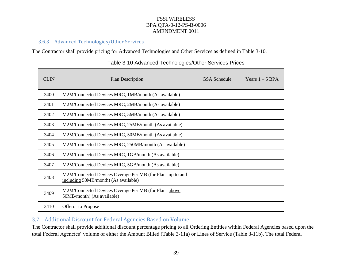### 3.6.3 Advanced Technologies/Other Services

The Contractor shall provide pricing for Advanced Technologies and Other Services as defined in Table 3-10.

| <b>CLIN</b> | Plan Description                                                                                  | GSA Schedule | Years $1 - 5$ BPA |
|-------------|---------------------------------------------------------------------------------------------------|--------------|-------------------|
| 3400        | M2M/Connected Devices MRC, 1MB/month (As available)                                               |              |                   |
| 3401        | M2M/Connected Devices MRC, 2MB/month (As available)                                               |              |                   |
| 3402        | M2M/Connected Devices MRC, 5MB/month (As available)                                               |              |                   |
| 3403        | M2M/Connected Devices MRC, 25MB/month (As available)                                              |              |                   |
| 3404        | M2M/Connected Devices MRC, 50MB/month (As available)                                              |              |                   |
| 3405        | M2M/Connected Devices MRC, 250MB/month (As available)                                             |              |                   |
| 3406        | M2M/Connected Devices MRC, 1GB/month (As available)                                               |              |                   |
| 3407        | M2M/Connected Devices MRC, 5GB/month (As available)                                               |              |                   |
| 3408        | M2M/Connected Devices Overage Per MB (for Plans up to and<br>including 50MB/month) (As available) |              |                   |
| 3409        | M2M/Connected Devices Overage Per MB (for Plans above<br>50MB/month) (As available)               |              |                   |
| 3410        | Offeror to Propose                                                                                |              |                   |

#### Table 3-10 Advanced Technologies/Other Services Prices

# 3.7 Additional Discount for Federal Agencies Based on Volume

The Contractor shall provide additional discount percentage pricing to all Ordering Entities within Federal Agencies based upon the total Federal Agencies' volume of either the Amount Billed (Table 3-11a) or Lines of Service (Table 3-11b). The total Federal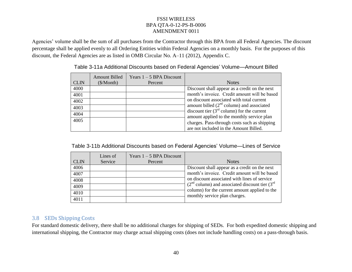Agencies' volume shall be the sum of all purchases from the Contractor through this BPA from all Federal Agencies. The discount percentage shall be applied evenly to all Ordering Entities within Federal Agencies on a monthly basis. For the purposes of this discount, the Federal Agencies are as listed in OMB Circular No. A–11 (2012), Appendix C.

|             | <b>Amount Billed</b> | Years $1 - 5$ BPA Discount |                                               |
|-------------|----------------------|----------------------------|-----------------------------------------------|
| <b>CLIN</b> | $(\$/Month)$         | Percent                    | <b>Notes</b>                                  |
| 4000        |                      |                            | Discount shall appear as a credit on the next |
| 4001        |                      |                            | month's invoice. Credit amount will be based  |
| 4002        |                      |                            | on discount associated with total current     |
| 4003        |                      |                            | amount billed $(2nd$ column) and associated   |
| 4004        |                      |                            | discount tier $(3rd$ column) for the current  |
|             |                      |                            | amount applied to the monthly service plan    |
| 4005        |                      |                            | charges. Pass-through costs such as shipping  |
|             |                      |                            | are not included in the Amount Billed.        |

#### Table 3-11a Additional Discounts based on Federal Agencies' Volume—Amount Billed

| Table 3-11b Additional Discounts based on Federal Agencies' Volume—Lines of Service |  |  |
|-------------------------------------------------------------------------------------|--|--|
|                                                                                     |  |  |
|                                                                                     |  |  |

| <b>CLIN</b> | Lines of<br>Service | Years $1 - 5$ BPA Discount<br>Percent | <b>Notes</b>                                                                   |
|-------------|---------------------|---------------------------------------|--------------------------------------------------------------------------------|
| 4006        |                     |                                       | Discount shall appear as a credit on the next                                  |
| 4007        |                     |                                       | month's invoice. Credit amount will be based                                   |
| 4008        |                     |                                       | on discount associated with lines of service                                   |
| 4009        |                     |                                       | $(2nd$ column) and associated discount tier $(3rd$                             |
| 4010        |                     |                                       | column) for the current amount applied to the<br>monthly service plan charges. |
| 4011        |                     |                                       |                                                                                |

# 3.8 SEDs Shipping Costs

For standard domestic delivery, there shall be no additional charges for shipping of SEDs. For both expedited domestic shipping and international shipping, the Contractor may charge actual shipping costs (does not include handling costs) on a pass-through basis.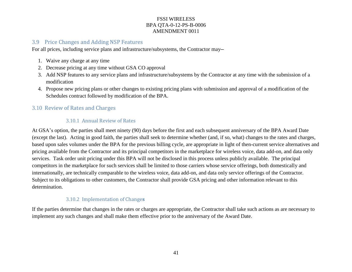#### 3.9 Price Changes and Adding NSP Features

For all prices, including service plans and infrastructure/subsystems, the Contractor may—

- 1. Waive any charge at any time
- 2. Decrease pricing at any time without GSA CO approval
- 3. Add NSP features to any service plans and infrastructure/subsystems by the Contractor at any time with the submission of a modification
- 4. Propose new pricing plans or other changes to existing pricing plans with submission and approval of a modification of the Schedules contract followed by modification of the BPA.

# 3.10 Review of Rates and Charges

### 3.10.1 Annual Review of Rates

At GSA's option, the parties shall meet ninety (90) days before the first and each subsequent anniversary of the BPA Award Date (except the last). Acting in good faith, the parties shall seek to determine whether (and, if so, what) changes to the rates and charges, based upon sales volumes under the BPA for the previous billing cycle, are appropriate in light of then-current service alternatives and pricing available from the Contractor and its principal competitors in the marketplace for wireless voice, data add-on, and data only services. Task order unit pricing under this BPA will not be disclosed in this process unless publicly available. The principal competitors in the marketplace for such services shall be limited to those carriers whose service offerings, both domestically and internationally, are technically comparable to the wireless voice, data add-on, and data only service offerings of the Contractor. Subject to its obligations to other customers, the Contractor shall provide GSA pricing and other information relevant to this determination.

### 3.10.2 Implementation of Change**s**

If the parties determine that changes in the rates or charges are appropriate, the Contractor shall take such actions as are necessary to implement any such changes and shall make them effective prior to the anniversary of the Award Date.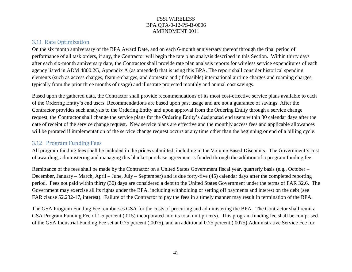#### 3.11 Rate Optimization

On the six month anniversary of the BPA Award Date, and on each 6-month anniversary thereof through the final period of performance of all task orders, if any, the Contractor will begin the rate plan analysis described in this Section. Within thirty days after each six-month anniversary date, the Contractor shall provide rate plan analysis reports for wireless service expenditures of each agency listed in ADM 4800.2G, Appendix A (as amended) that is using this BPA. The report shall consider historical spending elements (such as access charges, feature charges, and domestic and (if feasible) international airtime charges and roaming charges, typically from the prior three months of usage) and illustrate projected monthly and annual cost savings.

Based upon the gathered data, the Contractor shall provide recommendations of its most cost-effective service plans available to each of the Ordering Entity's end users. Recommendations are based upon past usage and are not a guarantee of savings. After the Contractor provides such analysis to the Ordering Entity and upon approval from the Ordering Entity through a service change request, the Contractor shall change the service plans for the Ordering Entity's designated end users within 30 calendar days after the date of receipt of the service change request. New service plans are effective and the monthly access fees and applicable allowances will be prorated if implementation of the service change request occurs at any time other than the beginning or end of a billing cycle.

#### 3.12 Program Funding Fees

All program funding fees shall be included in the prices submitted, including in the Volume Based Discounts. The Government's cost of awarding, administering and managing this blanket purchase agreement is funded through the addition of a program funding fee.

Remittance of the fees shall be made by the Contractor on a United States Government fiscal year, quarterly basis (e.g., October – December, January – March, April – June, July – September) and is due forty-five (45) calendar days after the completed reporting period. Fees not paid within thirty (30) days are considered a debt to the United States Government under the terms of FAR 32.6. The Government may exercise all its rights under the BPA, including withholding or setting off payments and interest on the debt (see FAR clause 52.232-17, interest). Failure of the Contractor to pay the fees in a timely manner may result in termination of the BPA.

The GSA Program Funding Fee reimburses GSA for the costs of procuring and administering the BPA. The Contractor shall remit a GSA Program Funding Fee of 1.5 percent (.015) incorporated into its total unit price(s). This program funding fee shall be comprised of the GSA Industrial Funding Fee set at 0.75 percent (.0075), and an additional 0.75 percent (.0075) Administrative Service Fee for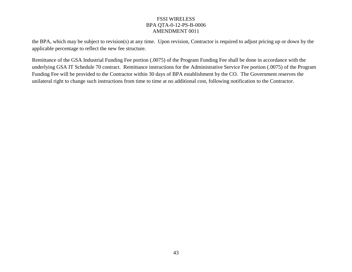the BPA, which may be subject to revision(s) at any time. Upon revision, Contractor is required to adjust pricing up or down by the applicable percentage to reflect the new fee structure.

Remittance of the GSA Industrial Funding Fee portion (.0075) of the Program Funding Fee shall be done in accordance with the underlying GSA IT Schedule 70 contract. Remittance instructions for the Administrative Service Fee portion (.0075) of the Program Funding Fee will be provided to the Contractor within 30 days of BPA establishment by the CO. The Government reserves the unilateral right to change such instructions from time to time at no additional cost, following notification to the Contractor.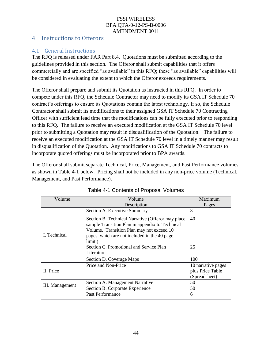# 4 Instructions to Offerors

# 4.1 General Instructions

The RFQ is released under FAR Part 8.4. Quotations must be submitted according to the guidelines provided in this section. The Offeror shall submit capabilities that it offers commercially and are specified "as available" in this RFQ; these "as available" capabilities will be considered in evaluating the extent to which the Offeror exceeds requirements.

The Offeror shall prepare and submit its Quotation as instructed in this RFQ. In order to compete under this RFQ, the Schedule Contractor may need to modify its GSA IT Schedule 70 contract's offerings to ensure its Quotations contain the latest technology. If so, the Schedule Contractor shall submit its modifications to their assigned GSA IT Schedule 70 Contracting Officer with sufficient lead time that the modifications can be fully executed prior to responding to this RFQ. The failure to receive an executed modification at the GSA IT Schedule 70 level prior to submitting a Quotation may result in disqualification of the Quotation. The failure to receive an executed modification at the GSA IT Schedule 70 level in a timely manner may result in disqualification of the Quotation. Any modifications to GSA IT Schedule 70 contracts to incorporate quoted offerings must be incorporated prior to BPA awards.

The Offeror shall submit separate Technical, Price, Management, and Past Performance volumes as shown in Table 4-1 below. Pricing shall not be included in any non-price volume (Technical, Management, and Past Performance).

| Volume          | Volume                                                                                                                                                                                                        | Maximum                                                 |
|-----------------|---------------------------------------------------------------------------------------------------------------------------------------------------------------------------------------------------------------|---------------------------------------------------------|
|                 | Description                                                                                                                                                                                                   |                                                         |
|                 | Section A. Executive Summary                                                                                                                                                                                  | 3                                                       |
| I. Technical    | Section B. Technical Narrative (Offeror may place)<br>sample Transition Plan in appendix to Technical<br>Volume. Transition Plan may not exceed 10<br>pages, which are not included in the 40 page<br>limit.) | 40                                                      |
|                 | Section C. Promotional and Service Plan<br>Literature                                                                                                                                                         | 25                                                      |
|                 | Section D. Coverage Maps                                                                                                                                                                                      | 100                                                     |
| II. Price       | Price and Non-Price                                                                                                                                                                                           | 10 narrative pages<br>plus Price Table<br>(Spreadsheet) |
| III. Management | Section A. Management Narrative                                                                                                                                                                               | 50                                                      |
|                 | Section B. Corporate Experience                                                                                                                                                                               | 50                                                      |
|                 | Past Performance                                                                                                                                                                                              | 6                                                       |

Table 4-1 Contents of Proposal Volumes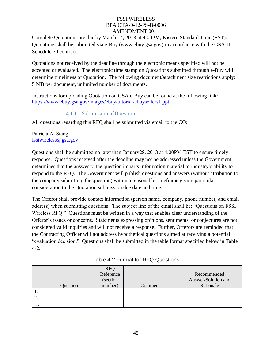Complete Quotations are due by March 14, 2013 at 4:00PM, Eastern Standard Time (EST). Quotations shall be submitted via e-Buy (www.ebuy.gsa.gov) in accordance with the GSA IT Schedule 70 contract.

Quotations not received by the deadline through the electronic means specified will not be accepted or evaluated. The electronic time stamp on Quotations submitted through e-Buy will determine timeliness of Quotation. The following document/attachment size restrictions apply: 5 MB per document, unlimited number of documents.

Instructions for uploading Quotation on GSA e-Buy can be found at the following link: https://www.ebuy.gsa.gov/images/ebuy/tutorial/ebuysellers1.ppt

### 4.1.1 Submission of Questions

All questions regarding this RFQ shall be submitted via email to the CO:

#### Patricia A. Stang fssiwireless@gsa.gov

Questions shall be submitted no later than January29, 2013 at 4:00PM EST to ensure timely response. Questions received after the deadline may not be addressed unless the Government determines that the answer to the question imparts information material to industry's ability to respond to the RFQ. The Government will publish questions and answers (without attribution to the company submitting the question) within a reasonable timeframe giving particular consideration to the Quotation submission due date and time.

The Offeror shall provide contact information (person name, company, phone number, and email address) when submitting questions. The subject line of the email shall be: "Questions on FSSI Wireless RFQ." Questions must be written in a way that enables clear understanding of the Offeror's issues or concerns. Statements expressing opinions, sentiments, or conjectures are not considered valid inquiries and will not receive a response. Further, Offerors are reminded that the Contracting Officer will not address hypothetical questions aimed at receiving a potential "evaluation decision." Questions shall be submitted in the table format specified below in Table 4-2.

|          |          | RFQ<br>Reference |         |                     |
|----------|----------|------------------|---------|---------------------|
|          |          |                  |         | Recommended         |
|          |          | (section         |         | Answer/Solution and |
|          | Question | number)          | Comment | Rationale           |
| .,       |          |                  |         |                     |
| <u>.</u> |          |                  |         |                     |
| $\cdots$ |          |                  |         |                     |

| Table 4-2 Format for RFQ Questions |  |  |
|------------------------------------|--|--|
|------------------------------------|--|--|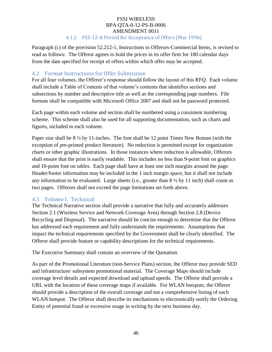#### FSSI WIRELESS BPA QTA-0-12-PS-B-0006 AMENDMENT 0011 4.1.2 FSS-12-A Period for Acceptance of Offers (Mar 1996)

Paragraph (c) of the provision 52.212-1, Instructions to Offerors-Commercial Items, is revised to read as follows: The Offeror agrees to hold the prices in its offer firm for 180 calendar days from the date specified for receipt of offers within which offer may be accepted.

### 4.2 Format Instructions for Offer Submission

For all four volumes, the Offeror's response should follow the layout of this RFQ. Each volume shall include a Table of Contents of that volume's contents that identifies sections and subsections by number and descriptive title as well as the corresponding page numbers. File formats shall be compatible with Microsoft Office 2007 and shall not be password protected.

Each page within each volume and section shall be numbered using a consistent numbering scheme. This scheme shall also be used for all supporting documentation, such as charts and figures, included in each volume.

Paper size shall be  $8\frac{1}{2}$  by 11-inches. The font shall be 12 point Times New Roman (with the exception of pre-printed product literature). No reduction is permitted except for organization charts or other graphic illustrations. In those instances where reduction is allowable, Offerors shall ensure that the print is easily readable. This includes no less than 9-point font on graphics and 10-point font on tables. Each page shall have at least one inch margins around the page. Header/footer information may be included in the 1 inch margin space, but it shall not include any information to be evaluated. Large sheets (i.e., greater than 8 ½ by 11 inch) shall count as two pages. Offerors shall not exceed the page limitations set forth above.

### 4.3 Volume I: Technical

The Technical Narrative section shall provide a narrative that fully and accurately addresses Section 2.1 (Wireless Service and Network Coverage Area) through Section 2.8 (Device Recycling and Disposal). The narrative should be concise enough to determine that the Offeror has addressed each requirement and fully understands the requirements. Assumptions that impact the technical requirements specified by the Government shall be clearly identified. The Offeror shall provide feature or capability descriptions for the technical requirements.

The Executive Summary shall contain an overview of the Quotation.

As part of the Promotional Literature (non-Service Plans) section, the Offeror may provide SED and infrastructure/ subsystem promotional material. The Coverage Maps should include coverage level details and expected download and upload speeds. The Offeror shall provide a URL with the location of these coverage maps if available. For WLAN hotspots, the Offeror should provide a description of the overall coverage and not a comprehensive listing of each WLAN hotspot. The Offeror shall describe its mechanisms to electronically notify the Ordering Entity of potential fraud or excessive usage in writing by the next business day.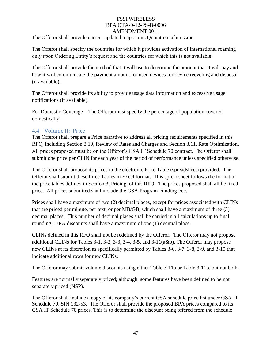The Offeror shall provide current updated maps in its Quotation submission.

The Offeror shall specify the countries for which it provides activation of international roaming only upon Ordering Entity's request and the countries for which this is not available.

The Offeror shall provide the method that it will use to determine the amount that it will pay and how it will communicate the payment amount for used devices for device recycling and disposal (if available).

The Offeror shall provide its ability to provide usage data information and excessive usage notifications (if available).

For Domestic Coverage – The Offeror must specify the percentage of population covered domestically.

### 4.4 Volume II: Price

The Offeror shall prepare a Price narrative to address all pricing requirements specified in this RFQ, including Section 3.10, Review of Rates and Charges and Section 3.11, Rate Optimization. All prices proposed must be on the Offeror's GSA IT Schedule 70 contract. The Offeror shall submit one price per CLIN for each year of the period of performance unless specified otherwise.

The Offeror shall propose its prices in the electronic Price Table (spreadsheet) provided. The Offeror shall submit these Price Tables in Excel format. This spreadsheet follows the format of the price tables defined in Section 3, Pricing, of this RFQ. The prices proposed shall all be fixed price. All prices submitted shall include the GSA Program Funding Fee.

Prices shall have a maximum of two (2) decimal places, except for prices associated with CLINs that are priced per minute, per text, or per MB/GB, which shall have a maximum of three (3) decimal places. This number of decimal places shall be carried in all calculations up to final rounding. BPA discounts shall have a maximum of one (1) decimal place.

CLINs defined in this RFQ shall not be redefined by the Offeror. The Offeror may not propose additional CLINs for Tables 3-1, 3-2, 3-3, 3-4, 3-5, and 3-11(a&b). The Offeror may propose new CLINs at its discretion as specifically permitted by Tables 3-6, 3-7, 3-8, 3-9, and 3-10 that indicate additional rows for new CLINs.

The Offeror may submit volume discounts using either Table 3-11a or Table 3-11b, but not both.

Features are normally separately priced; although, some features have been defined to be not separately priced (NSP).

The Offeror shall include a copy of its company's current GSA schedule price list under GSA IT Schedule 70, SIN 132-53. The Offeror shall provide the proposed BPA prices compared to its GSA IT Schedule 70 prices. This is to determine the discount being offered from the schedule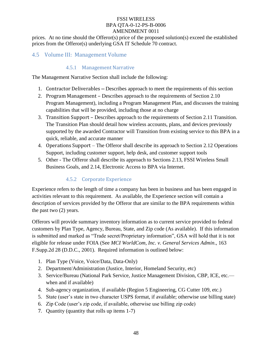prices. At no time should the Offeror(s) price of the proposed solution(s) exceed the established prices from the Offeror(s) underlying GSA IT Schedule 70 contract.

# 4.5 Volume III: Management Volume

### 4.5.1 Management Narrative

The Management Narrative Section shall include the following:

- 1. Contractor Deliverables Describes approach to meet the requirements of this section
- 2. Program Management Describes approach to the requirements of Section 2.10 Program Management), including a Program Management Plan, and discusses the training capabilities that will be provided, including those at no charge
- 3. Transition Support Describes approach to the requirements of Section 2.11 Transition. The Transition Plan should detail how wireless accounts, plans, and devices previously supported by the awarded Contractor will Transition from existing service to this BPA in a quick, reliable, and accurate manner
- 4. Operations Support The Offeror shall describe its approach to Section 2.12 Operations Support, including customer support, help desk, and customer support tools
- 5. Other The Offeror shall describe its approach to Sections 2.13, FSSI Wireless Small Business Goals, and 2.14, Electronic Access to BPA via Internet.

# 4.5.2 Corporate Experience

Experience refers to the length of time a company has been in business and has been engaged in activities relevant to this requirement. As available, the Experience section will contain a description of services provided by the Offeror that are similar to the BPA requirements within the past two (2) years.

Offerors will provide summary inventory information as to current service provided to federal customers by Plan Type, Agency, Bureau, State, and Zip code (As available). If this information is submitted and marked as "Trade secret/Proprietary information", GSA will hold that it is not eligible for release under FOIA (See *MCI WorldCom, Inc. v. General Services Admin*., 163 F.Supp.2d 28 (D.D.C., 2001). Required information is outlined below:

- 1. Plan Type (Voice, Voice/Data, Data-Only)
- 2. Department/Administration (Justice, Interior, Homeland Security, etc)
- 3. Service/Bureau (National Park Service, Justice Management Division, CBP, ICE, etc. when and if available)
- 4. Sub-agency organization, if available (Region 5 Engineering, CG Cutter 109, etc.)
- 5. State (user's state in two character USPS format, if available; otherwise use billing state)
- 6. Zip Code (user's zip code, if available, otherwise use billing zip code)
- 7. Quantity (quantity that rolls up items 1-7)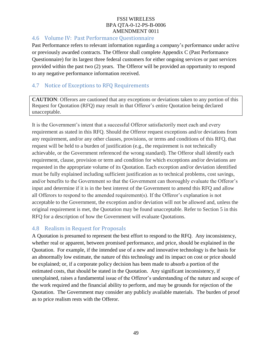# 4.6 Volume IV: Past Performance Questionnaire

Past Performance refers to relevant information regarding a company's performance under active or previously awarded contracts. The Offeror shall complete Appendix C (Past Performance Questionnaire) for its largest three federal customers for either ongoing services or past services provided within the past two (2) years. The Offeror will be provided an opportunity to respond to any negative performance information received.

# 4.7 Notice of Exceptions to RFQ Requirements

**CAUTION**: Offerors are cautioned that any exceptions or deviations taken to any portion of this Request for Quotation (RFQ) may result in that Offeror's entire Quotation being declared unacceptable.

It is the Government's intent that a successful Offeror satisfactorily meet each and every requirement as stated in this RFQ. Should the Offeror request exceptions and/or deviations from any requirement, and/or any other clauses, provisions, or terms and conditions of this RFQ, that request will be held to a burden of justification (e.g., the requirement is not technically achievable, or the Government referenced the wrong standard). The Offeror shall identify each requirement, clause, provision or term and condition for which exceptions and/or deviations are requested in the appropriate volume of its Quotation. Each exception and/or deviation identified must be fully explained including sufficient justification as to technical problems, cost savings, and/or benefits to the Government so that the Government can thoroughly evaluate the Offeror's input and determine if it is in the best interest of the Government to amend this RFQ and allow all Offerors to respond to the amended requirement(s). If the Offeror's explanation is not acceptable to the Government, the exception and/or deviation will not be allowed and, unless the original requirement is met, the Quotation may be found unacceptable. Refer to Section 5 in this RFQ for a description of how the Government will evaluate Quotations.

### 4.8 Realism in Request for Proposals

A Quotation is presumed to represent the best effort to respond to the RFQ. Any inconsistency, whether real or apparent, between promised performance, and price, should be explained in the Quotation. For example, if the intended use of a new and innovative technology is the basis for an abnormally low estimate, the nature of this technology and its impact on cost or price should be explained; or, if a corporate policy decision has been made to absorb a portion of the estimated costs, that should be stated in the Quotation. Any significant inconsistency, if unexplained, raises a fundamental issue of the Offeror's understanding of the nature and scope of the work required and the financial ability to perform, and may be grounds for rejection of the Quotation. The Government may consider any publicly available materials. The burden of proof as to price realism rests with the Offeror.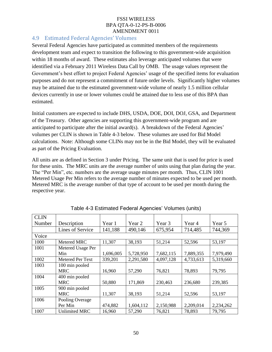## 4.9 Estimated Federal Agencies' Volumes

Several Federal Agencies have participated as committed members of the requirements development team and expect to transition the following to this government-wide acquisition within 18 months of award. These estimates also leverage anticipated volumes that were identified via a February 2011 Wireless Data Call by OMB. The usage values represent the Government's best effort to project Federal Agencies' usage of the specified items for evaluation purposes and do not represent a commitment of future order levels. Significantly higher volumes may be attained due to the estimated government-wide volume of nearly 1.5 million cellular devices currently in use or lower volumes could be attained due to less use of this BPA than estimated.

Initial customers are expected to include DHS, USDA, DOE, DOI, DOJ, GSA, and Department of the Treasury. Other agencies are supporting this government-wide program and are anticipated to participate after the initial award(s). A breakdown of the Federal Agencies' volumes per CLIN is shown in Table 4-3 below. These volumes are used for Bid Model calculations. Note: Although some CLINs may not be in the Bid Model, they will be evaluated as part of the Pricing Evaluation.

All units are as defined in Section 3 under Pricing. The same unit that is used for price is used for these units. The MRC units are the average number of units using that plan during the year. The "Per Min", etc. numbers are the average usage minutes per month. Thus, CLIN 1001 Metered Usage Per Min refers to the average number of minutes expected to be used per month. Metered MRC is the average number of that type of account to be used per month during the respective year.

| <b>CLIN</b> |                      |           |           |           |           |           |
|-------------|----------------------|-----------|-----------|-----------|-----------|-----------|
| Number      | Description          | Year 1    | Year 2    | Year 3    | Year 4    | Year 5    |
|             | Lines of Service     | 141,188   | 490,146   | 675,954   | 714,485   | 744,369   |
| Voice       |                      |           |           |           |           |           |
| 1000        | Metered MRC          | 11,307    | 38,193    | 51,214    | 52,596    | 53,197    |
| 1001        | Metered Usage Per    |           |           |           |           |           |
|             | Min                  | 1,696,005 | 5,728,950 | 7,682,115 | 7,889,355 | 7,979,490 |
| 1002        | Metered Per Text     | 339,201   | 2,291,580 | 4,097,128 | 4,733,613 | 5,319,660 |
| 1003        | 100 min pooled       |           |           |           |           |           |
|             | <b>MRC</b>           | 16,960    | 57,290    | 76,821    | 78,893    | 79,795    |
| 1004        | 400 min pooled       |           |           |           |           |           |
|             | <b>MRC</b>           | 50,880    | 171,869   | 230,463   | 236,680   | 239,385   |
| 1005        | 900 min pooled       |           |           |           |           |           |
|             | <b>MRC</b>           | 11,307    | 38,193    | 51,214    | 52,596    | 53,197    |
| 1006        | Pooling Overage      |           |           |           |           |           |
|             | Per Min              | 474,882   | 1,604,112 | 2,150,988 | 2,209,014 | 2,234,262 |
| 1007        | <b>Unlimited MRC</b> | 16,960    | 57,290    | 76,821    | 78,893    | 79,795    |

Table 4-3 Estimated Federal Agencies' Volumes (units)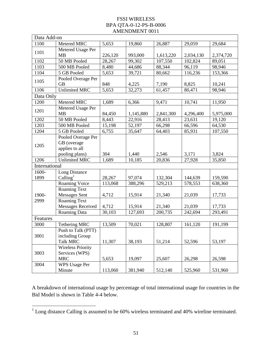|               | Data Add-on                                                           |         |           |           |           |           |
|---------------|-----------------------------------------------------------------------|---------|-----------|-----------|-----------|-----------|
| 1100          | Metered MRC                                                           | 5,653   | 19,860    | 26,887    | 29,059    | 29,684    |
| 1101          | Metered Usage Per<br><b>MB</b>                                        | 226,120 | 993,000   | 1,613,220 | 2,034,130 | 2,374,720 |
| 1102          | 50 MB Pooled                                                          | 28,267  | 99,302    | 107,550   | 102,824   | 89,051    |
| 1103          | 500 MB Pooled                                                         | 8,480   | 44,686    | 88,344    | 96,119    | 98,946    |
| 1104          | 5 GB Pooled                                                           | 5,653   | 39,721    | 80,662    | 116,236   | 153,366   |
| 1105          | Pooled Overage Per<br><b>GB</b>                                       | 848     | 4,225     | 7,190     | 8,825     | 10,241    |
| 1106          | <b>Unlimited MRC</b>                                                  | 5,653   | 32,273    | 61,457    | 80,471    | 98,946    |
| Data Only     |                                                                       |         |           |           |           |           |
| 1200          | Metered MRC                                                           | 1,689   | 6,366     | 9,471     | 10,741    | 11,950    |
| 1201          | Metered Usage Per<br><b>MB</b>                                        | 84,450  | 1,145,880 | 2,841,300 | 4,296,400 | 5,975,000 |
| 1202          | 50 MB Pooled                                                          | 8,443   | 22,916    | 28,413    | 23,631    | 19,120    |
| 1203          | 500 MB Pooled                                                         | 15,198  | 52,197    | 66,298    | 66,596    | 64,530    |
| 1204          | 5 GB Pooled                                                           | 6,755   | 35,647    | 64,403    | 85,931    | 107,550   |
| 1205          | Pooled Overage Per<br>GB (overage<br>applies to all<br>pooling plans) | 304     | 1,440     | 2,546     | 3,171     | 3,824     |
| 1206          | <b>Unlimited MRC</b>                                                  | 1,689   | 10,185    | 20,836    | 27,928    | 35,850    |
| International |                                                                       |         |           |           |           |           |
| 1600-         | Long Distance                                                         |         |           |           |           |           |
| 1899          | Calling $1$                                                           | 28,267  | 97,074    | 132,304   | 144,639   | 159,590   |
|               | Roaming Voice                                                         | 113,068 | 388,296   | 529,213   | 578,553   | 638,360   |
| 1900-         | <b>Roaming Text</b><br><b>Messages Sent</b>                           | 4,712   | 15,914    | 21,340    | 21,039    | 17,733    |
| 2999          | <b>Roaming Text</b>                                                   |         |           |           |           |           |
|               | <b>Messages Received</b>                                              | 4,712   | 15,914    | 21,340    | 21,039    | 17,733    |
|               | Roaming Data                                                          | 30,103  | 127,693   | 200,735   | 242,694   | 293,491   |
| Features      |                                                                       |         |           |           |           |           |
| 3000          | <b>Tethering MRC</b>                                                  | 13,509  | 70,021    | 128,807   | 161,120   | 191,199   |
| 3001          | Push to Talk (PTT)<br>including Group                                 |         |           |           |           |           |
|               | <b>Talk MRC</b><br><b>Wireless Priority</b>                           | 11,307  | 38,193    | 51,214    | 52,596    | 53,197    |
| 3003          | Services (WPS)<br><b>MRC</b>                                          | 5,653   | 19,097    | 25,607    | 26,298    | 26,598    |
| 3004          | <b>WPS Usage Per</b><br>Minute                                        | 113,060 | 381,940   | 512,140   | 525,960   | 531,960   |

A breakdown of international usage by percentage of total international usage for countries in the Bid Model is shown in Table 4-4 below.

<sup>&</sup>lt;sup>1</sup> Long distance Calling is assumed to be 60% wireless terminated and 40% wireline terminated.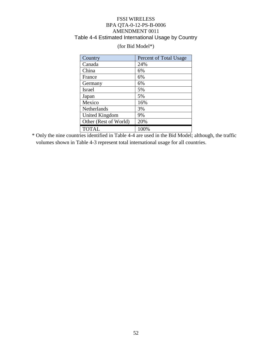### FSSI WIRELESS BPA QTA-0-12-PS-B-0006 AMENDMENT 0011 Table 4-4 Estimated International Usage by Country

| Country               | Percent of Total Usage |
|-----------------------|------------------------|
| Canada                | 24%                    |
| China                 | 6%                     |
| France                | 6%                     |
| Germany               | 6%                     |
| <b>Israel</b>         | 5%                     |
| Japan                 | 5%                     |
| Mexico                | 16%                    |
| Netherlands           | 3%                     |
| <b>United Kingdom</b> | 9%                     |
| Other (Rest of World) | 20%                    |
| <b>TOTAL</b>          | 100%                   |

### (for Bid Model\*)

\* Only the nine countries identified in Table 4-4 are used in the Bid Model; although, the traffic volumes shown in Table 4-3 represent total international usage for all countries.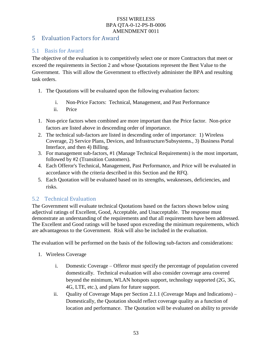## 5 Evaluation Factors for Award

# 5.1 Basis for Award

The objective of the evaluation is to competitively select one or more Contractors that meet or exceed the requirements in Section 2 and whose Quotations represent the Best Value to the Government. This will allow the Government to effectively administer the BPA and resulting task orders.

- 1. The Quotations will be evaluated upon the following evaluation factors:
	- i. Non-Price Factors: Technical, Management, and Past Performance
	- ii. Price
- 1. Non-price factors when combined are more important than the Price factor. Non-price factors are listed above in descending order of importance.
- 2. The technical sub-factors are listed in descending order of importance: 1) Wireless Coverage, 2) Service Plans, Devices, and Infrastructure/Subsystems., 3) Business Portal Interface, and then 4) Billing.
- 3. For management sub-factors, #1 (Manage Technical Requirements) is the most important, followed by #2 (Transition Customers).
- 4. Each Offeror's Technical, Management, Past Performance, and Price will be evaluated in accordance with the criteria described in this Section and the RFQ.
- 5. Each Quotation will be evaluated based on its strengths, weaknesses, deficiencies, and risks.

### 5.2 Technical Evaluation

The Government will evaluate technical Quotations based on the factors shown below using adjectival ratings of Excellent, Good, Acceptable, and Unacceptable. The response must demonstrate an understanding of the requirements and that all requirements have been addressed. The Excellent and Good ratings will be based upon exceeding the minimum requirements, which are advantageous to the Government. Risk will also be included in the evaluation.

The evaluation will be performed on the basis of the following sub-factors and considerations:

- 1. Wireless Coverage
	- i. Domestic Coverage Offeror must specify the percentage of population covered domestically. Technical evaluation will also consider coverage area covered beyond the minimum, WLAN hotspots support, technology supported (2G, 3G, 4G, LTE, etc.), and plans for future support.
	- ii. Quality of Coverage Maps per Section 2.1.1 (Coverage Maps and Indications) Domestically, the Quotation should reflect coverage quality as a function of location and performance. The Quotation will be evaluated on ability to provide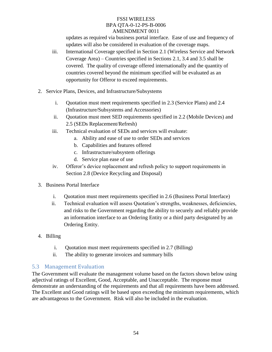updates as required via business portal interface. Ease of use and frequency of updates will also be considered in evaluation of the coverage maps.

- iii. International Coverage specified in Section 2.1 (Wireless Service and Network Coverage Area) – Countries specified in Sections 2.1, 3.4 and 3.5 shall be covered. The quality of coverage offered internationally and the quantity of countries covered beyond the minimum specified will be evaluated as an opportunity for Offeror to exceed requirements.
- 2. Service Plans, Devices, and Infrastructure/Subsystems
	- i. Quotation must meet requirements specified in 2.3 (Service Plans) and 2.4 (Infrastructure/Subsystems and Accessories)
	- ii. Quotation must meet SED requirements specified in 2.2 (Mobile Devices) and 2.5 (SEDs Replacement/Refresh)
	- iii. Technical evaluation of SEDs and services will evaluate:
		- a. Ability and ease of use to order SEDs and services
		- b. Capabilities and features offered
		- c. Infrastructure/subsystem offerings
		- d. Service plan ease of use
	- iv. Offeror's device replacement and refresh policy to support requirements in Section 2.8 (Device Recycling and Disposal)
- 3. Business Portal Interface
	- i. Quotation must meet requirements specified in 2.6 (Business Portal Interface)
	- ii. Technical evaluation will assess Quotation's strengths, weaknesses, deficiencies, and risks to the Government regarding the ability to securely and reliably provide an information interface to an Ordering Entity or a third party designated by an Ordering Entity.
- 4. Billing
	- i. Quotation must meet requirements specified in 2.7 (Billing)
	- ii. The ability to generate invoices and summary bills

### 5.3 Management Evaluation

The Government will evaluate the management volume based on the factors shown below using adjectival ratings of Excellent, Good, Acceptable, and Unacceptable. The response must demonstrate an understanding of the requirements and that all requirements have been addressed. The Excellent and Good ratings will be based upon exceeding the minimum requirements, which are advantageous to the Government. Risk will also be included in the evaluation.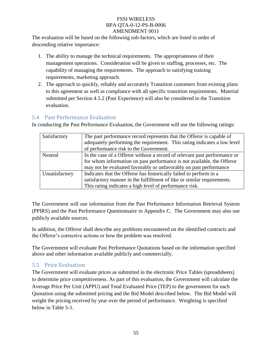The evaluation will be based on the following sub-factors, which are listed in order of descending relative importance:

- 1. The ability to manage the technical requirements. The appropriateness of their management operations. Consideration will be given to staffing, processes, etc. The capability of managing the requirements. The approach to satisfying training requirements, marketing approach.
- 2. The approach to quickly, reliably and accurately Transition customers from existing plans to this agreement as well as compliance with all specific transition requirements. Material submitted per Section 4.5.2 (Past Experience) will also be considered in the Transition evaluation.

### 5.4 Past Performance Evaluation

In conducting the Past Performance Evaluation, the Government will use the following ratings:

| Satisfactory   | The past performance record represents that the Offeror is capable of<br>adequately performing the requirement. This rating indicates a low level<br>of performance risk to the Government.                              |
|----------------|--------------------------------------------------------------------------------------------------------------------------------------------------------------------------------------------------------------------------|
| Neutral        | In the case of a Offeror without a record of relevant past performance or<br>for whom information on past performance is not available, the Offeror<br>may not be evaluated favorably or unfavorably on past performance |
| Unsatisfactory | Indicates that the Offeror has historically failed to perform in a<br>satisfactory manner in the fulfillment of like or similar requirements.<br>This rating indicates a high level of performance risk.                 |

The Government will use information from the Past Performance Information Retrieval System (PPIRS) and the Past Performance Questionnaire in Appendix C. The Government may also use publicly available sources.

In addition, the Offeror shall describe any problems encountered on the identified contracts and the Offeror's corrective actions or how the problem was resolved.

The Government will evaluate Past Performance Quotations based on the information specified above and other information available publicly and commercially.

# 5.5 Price Evaluation

The Government will evaluate prices as submitted in the electronic Price Tables (spreadsheets) to determine price competitiveness. As part of this evaluation, the Government will calculate the Average Price Per Unit (APPU) and Total Evaluated Price (TEP) to the government for each Quotation using the submitted pricing and the Bid Model described below. The Bid Model will weight the pricing received by year over the period of performance. Weighting is specified below in Table 5-1.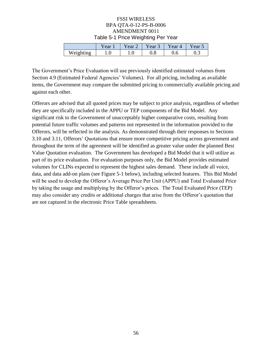#### FSSI WIRELESS BPA QTA-0-12-PS-B-0006 AMENDMENT 0011 Table 5-1 Price Weighting Per Year

|           | r ear | rear | rear | Year 4 | rear |
|-----------|-------|------|------|--------|------|
| Weighting | IJ.   | 1.V  | v.o  | v.o    | ∪.J  |

The Government's Price Evaluation will use previously identified estimated volumes from Section 4.9 (Estimated Federal Agencies' Volumes). For all pricing, including as available items, the Government may compare the submitted pricing to commercially available pricing and against each other.

Offerors are advised that all quoted prices may be subject to price analysis, regardless of whether they are specifically included in the APPU or TEP components of the Bid Model. Any significant risk to the Government of unacceptably higher comparative costs, resulting from potential future traffic volumes and patterns not represented in the information provided to the Offerors, will be reflected in the analysis. As demonstrated through their responses to Sections 3.10 and 3.11, Offerors' Quotations that ensure more competitive pricing across government and throughout the term of the agreement will be identified as greater value under the planned Best Value Quotation evaluation. The Government has developed a Bid Model that it will utilize as part of its price evaluation. For evaluation purposes only, the Bid Model provides estimated volumes for CLINs expected to represent the highest sales demand. These include all voice, data, and data add-on plans (see Figure 5-1 below), including selected features. This Bid Model will be used to develop the Offeror's Average Price Per Unit (APPU) and Total Evaluated Price by taking the usage and multiplying by the Offeror's prices. The Total Evaluated Price (TEP) may also consider any credits or additional charges that arise from the Offeror's quotation that are not captured in the electronic Price Table spreadsheets.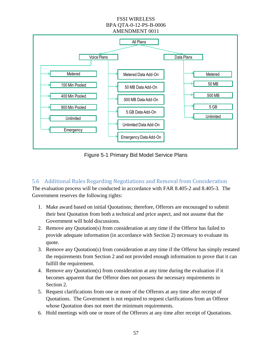

Figure 5-1 Primary Bid Model Service Plans

# 5.6 Additional Rules Regarding Negotiations and Removal from Consideration

The evaluation process will be conducted in accordance with FAR 8.405-2 and 8.405-3. The Government reserves the following rights:

- 1. Make award based on initial Quotations; therefore, Offerors are encouraged to submit their best Quotation from both a technical and price aspect, and not assume that the Government will hold discussions.
- 2. Remove any Quotation(s) from consideration at any time if the Offeror has failed to provide adequate information (in accordance with Section 2) necessary to evaluate its quote.
- 3. Remove any Quotation(s) from consideration at any time if the Offeror has simply restated the requirements from Section 2 and not provided enough information to prove that it can fulfill the requirement.
- 4. Remove any Quotation(s) from consideration at any time during the evaluation if it becomes apparent that the Offeror does not possess the necessary requirements in Section 2.
- 5. Request clarifications from one or more of the Offerors at any time after receipt of Quotations. The Government is not required to request clarifications from an Offeror whose Quotation does not meet the minimum requirements.
- 6. Hold meetings with one or more of the Offerors at any time after receipt of Quotations.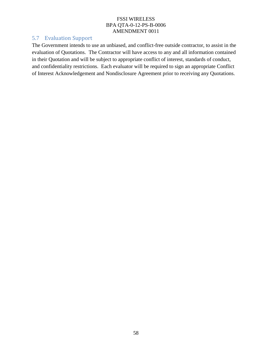# 5.7 Evaluation Support

The Government intends to use an unbiased, and conflict-free outside contractor, to assist in the evaluation of Quotations. The Contractor will have access to any and all information contained in their Quotation and will be subject to appropriate conflict of interest, standards of conduct, and confidentiality restrictions. Each evaluator will be required to sign an appropriate Conflict of Interest Acknowledgement and Nondisclosure Agreement prior to receiving any Quotations.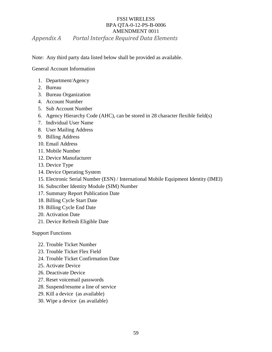### FSSI WIRELESS BPA QTA-0-12-PS-B-0006 AMENDMENT 0011 *Appendix A Portal Interface Required Data Elements*

Note: Any third party data listed below shall be provided as available.

General Account Information

- 1. Department/Agency
- 2. Bureau
- 3. Bureau Organization
- 4. Account Number
- 5. Sub Account Number
- 6. Agency Hierarchy Code (AHC), can be stored in 28 character flexible field(s)
- 7. Individual User Name
- 8. User Mailing Address
- 9. Billing Address
- 10. Email Address
- 11. Mobile Number
- 12. Device Manufacturer
- 13. Device Type
- 14. Device Operating System
- 15. Electronic Serial Number (ESN) / International Mobile Equipment Identity (IMEI)
- 16. Subscriber Identity Module (SIM) Number
- 17. Summary Report Publication Date
- 18. Billing Cycle Start Date
- 19. Billing Cycle End Date
- 20. Activation Date
- 21. Device Refresh Eligible Date

Support Functions

- 22. Trouble Ticket Number
- 23. Trouble Ticket Flex Field
- 24. Trouble Ticket Confirmation Date
- 25. Activate Device
- 26. Deactivate Device
- 27. Reset voicemail passwords
- 28. Suspend/resume a line of service
- 29. Kill a device (as available)
- 30. Wipe a device (as available)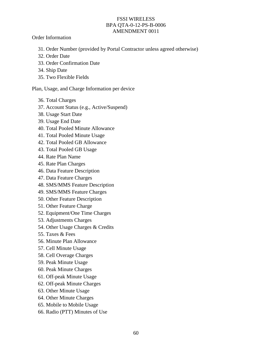Order Information

- 31. Order Number (provided by Portal Contractor unless agreed otherwise)
- 32. Order Date
- 33. Order Confirmation Date
- 34. Ship Date
- 35. Two Flexible Fields

Plan, Usage, and Charge Information per device

- 36. Total Charges
- 37. Account Status (e.g., Active/Suspend)
- 38. Usage Start Date
- 39. Usage End Date
- 40. Total Pooled Minute Allowance
- 41. Total Pooled Minute Usage
- 42. Total Pooled GB Allowance
- 43. Total Pooled GB Usage
- 44. Rate Plan Name
- 45. Rate Plan Charges
- 46. Data Feature Description
- 47. Data Feature Charges
- 48. SMS/MMS Feature Description
- 49. SMS/MMS Feature Charges
- 50. Other Feature Description
- 51. Other Feature Charge
- 52. Equipment/One Time Charges
- 53. Adjustments Charges
- 54. Other Usage Charges & Credits
- 55. Taxes & Fees
- 56. Minute Plan Allowance
- 57. Cell Minute Usage
- 58. Cell Overage Charges
- 59. Peak Minute Usage
- 60. Peak Minute Charges
- 61. Off-peak Minute Usage
- 62. Off-peak Minute Charges
- 63. Other Minute Usage
- 64. Other Minute Charges
- 65. Mobile to Mobile Usage
- 66. Radio (PTT) Minutes of Use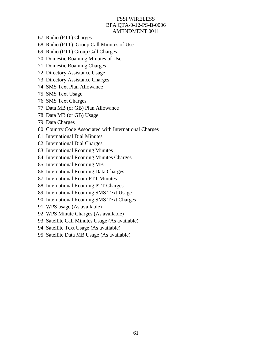- 67. Radio (PTT) Charges
- 68. Radio (PTT) Group Call Minutes of Use
- 69. Radio (PTT) Group Call Charges
- 70. Domestic Roaming Minutes of Use
- 71. Domestic Roaming Charges
- 72. Directory Assistance Usage
- 73. Directory Assistance Charges
- 74. SMS Text Plan Allowance
- 75. SMS Text Usage
- 76. SMS Text Charges
- 77. Data MB (or GB) Plan Allowance
- 78. Data MB (or GB) Usage
- 79. Data Charges
- 80. Country Code Associated with International Charges
- 81. International Dial Minutes
- 82. International Dial Charges
- 83. International Roaming Minutes
- 84. International Roaming Minutes Charges
- 85. International Roaming MB
- 86. International Roaming Data Charges
- 87. International Roam PTT Minutes
- 88. International Roaming PTT Charges
- 89. International Roaming SMS Text Usage
- 90. International Roaming SMS Text Charges
- 91. WPS usage (As available)
- 92. WPS Minute Charges (As available)
- 93. Satellite Call Minutes Usage (As available)
- 94. Satellite Text Usage (As available)
- 95. Satellite Data MB Usage (As available)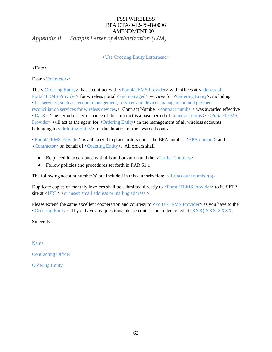# FSSI WIRELESS BPA QTA-0-12-PS-B-0006 AMENDMENT 0011 *Appendix B Sample Letter of Authorization (LOA)*

<Use Ordering Entity Letterhead>

<Date>

Dear <Contractor>:

The < Ordering Entity>, has a contract with <Portal/TEMS Provider> with offices at <address of Portal/TEMS Provider> for wireless portal <and managed> services for <Ordering Entity>, including <list services, such as account management, services and devices management, and payment reconciliation services for wireless devices.> Contract Number <contract number> was awarded effective <Date>. The period of performance of this contract is a base period of <contract terms.> <Portal/TEMS Provider> will act as the agent for <Ordering Entity> in the management of all wireless accounts belonging to  $\langle$ Ordering Entity> for the duration of the awarded contract.

<Portal/TEMS Provider> is authorized to place orders under the BPA number <BPA number> and <Contractor> on behalf of <Ordering Entity>. All orders shall─

- $\bullet$ Be placed in accordance with this authorization and the <Carrier Contract>
- Follow policies and procedures set forth in FAR 51.1  $\bullet$

The following account number(s) are included in this authorization:  $\langle$ list account number(s)>

Duplicate copies of monthly invoices shall be submitted directly to <Portal/TEMS Provider> to its SFTP site at <URL> <or insert email address or mailing address >.

Please extend the same excellent cooperation and courtesy to <Portal/TEMS Provider> as you have to the <Ordering Entity>. If you have any questions, please contact the undersigned at (XXX) XXX-XXXX.

Sincerely,

Name

Contracting Officer

Ordering Entity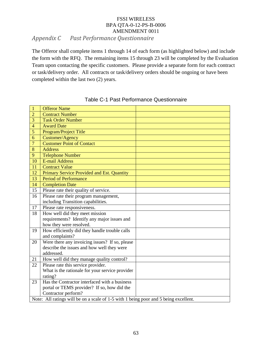### FSSI WIRELESS BPA QTA-0-12-PS-B-0006 AMENDMENT 0011 *Appendix C Past Performance Questionnaire*

The Offeror shall complete items 1 through 14 of each form (as highlighted below) and include the form with the RFQ. The remaining items 15 through 23 will be completed by the Evaluation Team upon contacting the specific customers. Please provide a separate form for each contract or task/delivery order. All contracts or task/delivery orders should be ongoing or have been completed within the last two (2) years.

| $\mathbf{1}$   | <b>Offeror Name</b>                                                                  |
|----------------|--------------------------------------------------------------------------------------|
| $\overline{2}$ | <b>Contract Number</b>                                                               |
| 3              | <b>Task Order Number</b>                                                             |
| $\overline{4}$ | <b>Award Date</b>                                                                    |
| $\overline{5}$ | Program/Project Title                                                                |
| 6              | Customer/Agency                                                                      |
| $\overline{7}$ | <b>Customer Point of Contact</b>                                                     |
| 8              | <b>Address</b>                                                                       |
| 9              | <b>Telephone Number</b>                                                              |
| 10             | <b>E-mail Address</b>                                                                |
| 11             | <b>Contract Value</b>                                                                |
| 12             | Primary Service Provided and Est. Quantity                                           |
| 13             | <b>Period of Performance</b>                                                         |
| 14             | <b>Completion Date</b>                                                               |
| 15             | Please rate their quality of service.                                                |
| 16             | Please rate their program management,                                                |
|                | including Transition capabilities.                                                   |
| 17             | Please rate responsiveness.                                                          |
| 18             | How well did they meet mission                                                       |
|                | requirements? Identify any major issues and                                          |
|                | how they were resolved.                                                              |
| 19             | How efficiently did they handle trouble calls                                        |
|                | and complaints?                                                                      |
| 20             | Were there any invoicing issues? If so, please                                       |
|                | describe the issues and how well they were                                           |
|                | addressed.                                                                           |
| 21             | How well did they manage quality control?                                            |
| 22             | Please rate this service provider.                                                   |
|                | What is the rationale for your service provider                                      |
|                | rating?                                                                              |
| 23             | Has the Contractor interfaced with a business                                        |
|                | portal or TEMS provider? If so, how did the                                          |
|                | Contractor perform?                                                                  |
|                | Note: All ratings will be on a scale of 1-5 with 1 being poor and 5 being excellent. |

Table C-1 Past Performance Questionnaire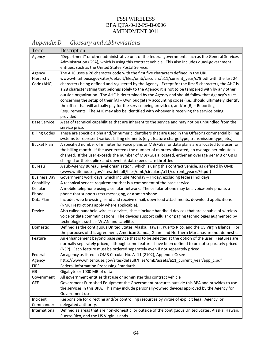| Term                 | Description                                                                                                                                                                                           |
|----------------------|-------------------------------------------------------------------------------------------------------------------------------------------------------------------------------------------------------|
| Agency               | "Department" or other administrative unit of the federal government, such as the General Services                                                                                                     |
|                      | Administration (GSA), which is using this contract vehicle. This also includes quasi-government                                                                                                       |
|                      | entities, such as the United States Postal Service.                                                                                                                                                   |
| Agency               | The AHC uses a 28 character code with the first five characters defined in the URL                                                                                                                    |
| Hierarchy            | www.whitehouse.gov/sites/default/files/omb/circulars/a11/current_year/s79.pdf with the last 24                                                                                                        |
| Code (AHC)           | characters being defined and registered by the Agency. Except for the first 5 characters, the AHC is                                                                                                  |
|                      | a 28 character string that belongs solely to the Agency; it is not to be tampered with by any other                                                                                                   |
|                      | outside organization. The AHC is determined by the Agency and should follow that Agency's rules                                                                                                       |
|                      | concerning the setup of their [A] - Own budgetary accounting codes (i.e., should ultimately identify<br>the office that will actually pay for the service being provided), and/or [B] - Reporting     |
|                      | Requirements. The AHC may also be identified with whoever is receiving the service being                                                                                                              |
|                      | provided.                                                                                                                                                                                             |
| <b>Base Service</b>  | A set of technical capabilities that are inherent to the service and may not be unbundled from the                                                                                                    |
|                      | service price.                                                                                                                                                                                        |
| <b>Billing Codes</b> | These are specific alpha and/or numeric identifiers that are used in the Offeror's commercial billing                                                                                                 |
|                      | systems to represent various billing elements (e.g., feature charge type, transmission type, etc.).                                                                                                   |
| <b>Bucket Plan</b>   | A specified number of minutes for voice plans or MBs/GBs for data plans are allocated to a user for                                                                                                   |
|                      | the billing month. If the user exceeds the number of minutes allocated, an overage per minute is                                                                                                      |
|                      | charged. If the user exceeds the number of MBs/GBs allocated, either an overage per MB or GB is                                                                                                       |
|                      | charged or their uplink and downlink data speeds are throttled.                                                                                                                                       |
| <b>Bureau</b>        | A sub-Agency Bureau level organization, which is using this contract vehicle, as defined by OMB                                                                                                       |
| <b>Business Day</b>  | (www.whitehouse.gov/sites/default/files/omb/circulars/a11/current_year/s79.pdf)<br>Government work days, which include Monday - Friday, excluding federal holidays                                    |
| Capability           | A technical service requirement that is a component of the base service.                                                                                                                              |
| Cellular             | A mobile telephone using a cellular network. The cellular phone may be a voice-only phone, a                                                                                                          |
| Phone                | phone that supports text messaging, or a smartphone.                                                                                                                                                  |
| Data Plan            | Includes web browsing, send and receive email, download attachments, download applications                                                                                                            |
|                      | (NMCI restrictions apply where applicable).                                                                                                                                                           |
| Device               | Also called handheld wireless devices, these include handheld devices that are capable of wireless                                                                                                    |
|                      | voice or data communications. The devices support cellular or paging technologies augmented by                                                                                                        |
|                      | technologies such as WLAN and satellite.                                                                                                                                                              |
| Domestic             | Defined as the contiguous United States, Alaska, Hawaii, Puerto Rico, and the US Virgin Islands. For                                                                                                  |
|                      | the purposes of this agreement, American Samoa, Guam and Northern Marianas are not domestic.                                                                                                          |
| Feature              | An enhancement beyond base service that is to be selected at the option of the user. Features are<br>normally separately priced, although some features have been defined to be not separately priced |
|                      | (NSP). Each feature must be ordered separately even if not separately priced.                                                                                                                         |
| Federal              | An agency as listed in OMB Circular No. A-11 (2102), Appendix C; see                                                                                                                                  |
| Agency               | http://www.whitehouse.gov/sites/default/files/omb/assets/a11_current_year/app_c.pdf                                                                                                                   |
| <b>FIPS</b>          | <b>Federal Information Processing Standards</b>                                                                                                                                                       |
| GB                   | Gigabyte or 1000 MB of data                                                                                                                                                                           |
| Government           | All government entities that use or administer this contract vehicle                                                                                                                                  |
| <b>GFE</b>           | Government Furnished Equipment the Government procures outside this BPA and provides to use                                                                                                           |
|                      | the services in this BPA. This may include personally-owned devices approved by the Agency for                                                                                                        |
|                      | Government use.                                                                                                                                                                                       |
| Incident             | Responsible for directing and/or controlling resources by virtue of explicit legal, Agency, or                                                                                                        |
| Commander            | delegated authority.                                                                                                                                                                                  |
| International        | Defined as areas that are non-domestic, or outside of the contiguous United States, Alaska, Hawaii,<br>Puerto Rico, and the US Virgin Islands.                                                        |
|                      |                                                                                                                                                                                                       |

# *Appendix D Glossary and Abbreviations*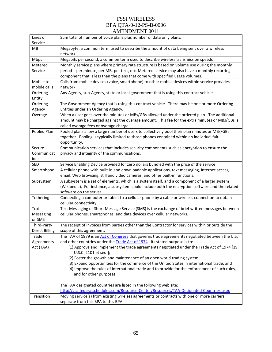| Lines of<br>Service   | Sum total of number of voice plans plus number of data only plans.                                                         |
|-----------------------|----------------------------------------------------------------------------------------------------------------------------|
| MВ                    | Megabyte, a common term used to describe the amount of data being sent over a wireless<br>network                          |
| Mbps                  | Megabits per second, a common term used to describe wireless transmission speeds                                           |
| Metered               | Monthly service plans where primary rate structure is based on volume use during the monthly                               |
| Service               | period - per minute, per MB, per text, etc. Metered service may also have a monthly recurring                              |
|                       | component that is less than the plans that come with specified usage volumes.                                              |
| Mobile to             | Calls from mobile devices (voice, smartphone) to other mobile devices within service provides                              |
| mobile calls          | network.                                                                                                                   |
| Ordering              | Any Agency, sub-Agency, state or local government that is using this contract vehicle.                                     |
| Entity                |                                                                                                                            |
| Ordering              | The Government Agency that is using this contract vehicle. There may be one or more Ordering                               |
| Agency                | Entities under an Ordering Agency.                                                                                         |
| Overage               | When a user goes over the minutes or MBs/GBs allowed under the ordered plan. The additional                                |
|                       | amount may be charged against the overage amount. This fee for the extra minutes or MBs/GBs is                             |
|                       | called overage fees or overage charge.                                                                                     |
| Pooled Plan           | Pooled plans allow a large number of users to collectively pool their plan minutes or MBs/GBs                              |
|                       | together. Pooling is typically limited to those phones contained within an individual fair                                 |
|                       | opportunity.                                                                                                               |
| Secure                | Communication services that includes security components such as encryption to ensure the                                  |
| Communicat            | privacy and integrity of the communications.                                                                               |
| ions                  |                                                                                                                            |
| SED                   | Service Enabling Device provided for zero dollars bundled with the price of the service                                    |
| Smartphone            | A cellular phone with built-in and downloadable applications, text messaging, Internet access,                             |
|                       | email, Web browsing, still and video cameras, and other built-in functions.                                                |
| Subsystem             | A subsystem is a set of elements, which is a system itself, and a component of a larger system                             |
|                       | (Wikipedia). For instance, a subsystem could include both the encryption software and the related                          |
|                       | software on the server.<br>Connecting a computer or tablet to a cellular phone by a cable or wireless connection to obtain |
| Tethering             | cellular connectivity.                                                                                                     |
| Text                  | Text Messaging or Short Message Service (SMS) is the exchange of brief written messages between                            |
| Messaging             | cellular phones, smartphones, and data devices over cellular networks.                                                     |
| or SMS                |                                                                                                                            |
| Third-Party           | The receipt of invoices from parties other than the Contractor for services within or outside the                          |
| <b>Direct Billing</b> | scope of this agreement.                                                                                                   |
| Trade                 | The TAA of 1979 is an Act of Congress that governs trade agreements negotiated between the U.S.                            |
| Agreements            | and other countries under the Trade Act of 1974. Its stated purpose is to:                                                 |
| Act (TAA)             | (1) Approve and implement the trade agreements negotiated under the Trade Act of 1974 [19                                  |
|                       | U.S.C. 2101 et seq.];                                                                                                      |
|                       | (2) Foster the growth and maintenance of an open world trading system;                                                     |
|                       | (3) Expand opportunities for the commerce of the United States in international trade; and                                 |
|                       | (4) Improve the rules of international trade and to provide for the enforcement of such rules,                             |
|                       | and for other purposes.                                                                                                    |
|                       |                                                                                                                            |
|                       | The TAA designated countries are listed in the following web site:                                                         |
|                       | http://gsa.federalschedules.com/Resource-Center/Resources/TAA-Designated-Countries.aspx                                    |
| Transition            | Moving service(s) from existing wireless agreements or contracts with one or more carriers                                 |
|                       | separate from this BPA to this BPA.                                                                                        |